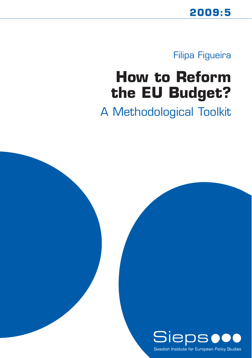Filipa Figueira

# **How to Reform the EU Budget?**

A Methodological Toolkit

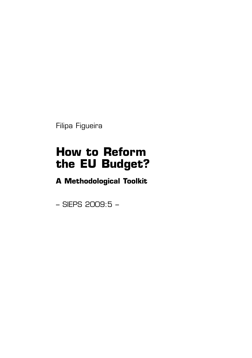Filipa Figueira

## **How to Reform the EU Budget?**

**A Methodological Toolkit**

– SIEPS 2009:5 –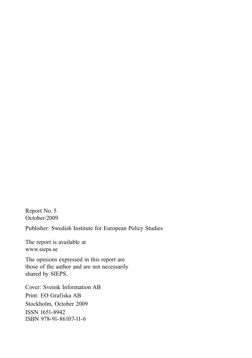Report No. 5 October/2009

Publisher: Swedish Institute for European Policy Studies

The report is available at www.sieps.se

The opinions expressed in this report are those of the author and are not necessarily shared by SIEPS.

Cover: Svensk Information AB Print: EO Grafiska AB Stockholm, October 2009 ISSN 1651-8942 ISBN 978-91-86107-11-6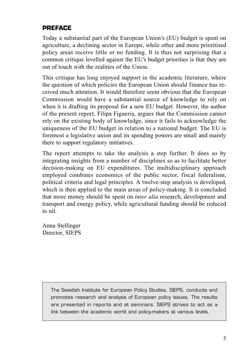## **PREFACE**

Today a substantial part of the European Union's (EU) budget is spent on agriculture, a declining sector in Europe, while other and more prioritised policy areas receive little or no funding. It is thus not surprising that a common critique levelled against the EU's budget priorities is that they are out of touch with the realities of the Union.

This critique has long enjoyed support in the academic literature, where the question of which policies the European Union should finance has received much attention. It would therefore seem obvious that the European Commission would have a substantial source of knowledge to rely on when it is drafting its proposal for a new EU budget. However, the author of the present report, Filipa Figueria, argues that the Commission cannot rely on the existing body of knowledge, since it fails to acknowledge the uniqueness of the EU budget in relation to a national budget. The EU is foremost a legislative union and its spending powers are small and mainly there to support regulatory initiatives.

The report attempts to take the analysis a step further. It does so by integrating insights from a number of disciplines so as to facilitate better decision-making on EU expenditures. The multidisciplinary approach employed combines economics of the public sector, fiscal federalism, political criteria and legal principles. A twelve-step analysis is developed, which is then applied to the main areas of policy-making. It is concluded that more money should be spent on *inter alia* research, development and transport and energy policy, while agricultural funding should be reduced to nil.

Anna Stellinger Director, SIEPS

> The Swedish Institute for European Policy Studies, SIEPS, conducts and promotes research and analysis of European policy issues. The results are presented in reports and at seminars. SIEPS strives to act as a link between the academic world and policy-makers at various levels.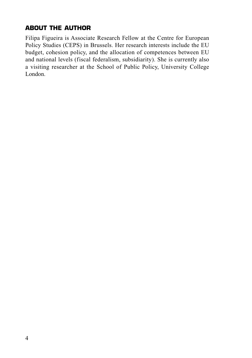## **ABOUT THE AUTHOR**

Filipa Figueira is Associate Research Fellow at the Centre for European Policy Studies (CEPS) in Brussels. Her research interests include the EU budget, cohesion policy, and the allocation of competences between EU and national levels (fiscal federalism, subsidiarity). She is currently also a visiting researcher at the School of Public Policy, University College London.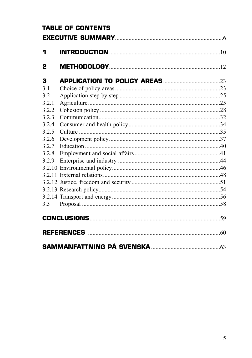| <b>TABLE OF CONTENTS</b> |  |  |
|--------------------------|--|--|
|                          |  |  |
| 1                        |  |  |
| 2                        |  |  |
| 3                        |  |  |
| 3.1                      |  |  |
| 3.2                      |  |  |
| 3.2.1                    |  |  |
| 3.2.2                    |  |  |
| 3.2.3                    |  |  |
| 3.2.4                    |  |  |
| 3.2.5                    |  |  |
| 3.2.6                    |  |  |
| 3.2.7                    |  |  |
| 3.2.8                    |  |  |
| 3.2.9                    |  |  |
|                          |  |  |
|                          |  |  |
|                          |  |  |
|                          |  |  |
|                          |  |  |
|                          |  |  |
|                          |  |  |
|                          |  |  |
|                          |  |  |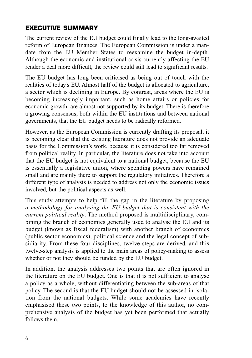## **EXECUTIVE SUMMARY**

The current review of the EU budget could finally lead to the long-awaited reform of European finances. The European Commission is under a mandate from the EU Member States to reexamine the budget in-depth. Although the economic and institutional crisis currently affecting the EU render a deal more difficult, the review could still lead to significant results.

The EU budget has long been criticised as being out of touch with the realities of today's EU. Almost half of the budget is allocated to agriculture, a sector which is declining in Europe. By contrast, areas where the EU is becoming increasingly important, such as home affairs or policies for economic growth, are almost not supported by its budget. There is therefore a growing consensus, both within the EU institutions and between national governments, that the EU budget needs to be radically reformed.

However, as the European Commission is currently drafting its proposal, it is becoming clear that the existing literature does not provide an adequate basis for the Commission's work, because it is considered too far removed from political reality. In particular, the literature does not take into account that the EU budget is not equivalent to a national budget, because the EU is essentially a legislative union, where spending powers have remained small and are mainly there to support the regulatory initiatives. Therefore a different type of analysis is needed to address not only the economic issues involved, but the political aspects as well.

This study attempts to help fill the gap in the literature by proposing *a methodology for analysing the EU budget that is consistent with the current political reality*. The method proposed is multidisciplinary, combining the branch of economics generally used to analyse the EU and its budget (known as fiscal federalism) with another branch of economics (public sector economics), political science and the legal concept of subsidiarity. From these four disciplines, twelve steps are derived, and this twelve-step analysis is applied to the main areas of policy-making to assess whether or not they should be funded by the EU budget.

In addition, the analysis addresses two points that are often ignored in the literature on the EU budget. One is that it is not sufficient to analyse a policy as a whole, without differentiating between the sub-areas of that policy. The second is that the EU budget should not be assessed in isolation from the national budgets. While some academics have recently emphasised these two points, to the knowledge of this author, no comprehensive analysis of the budget has yet been performed that actually follows them.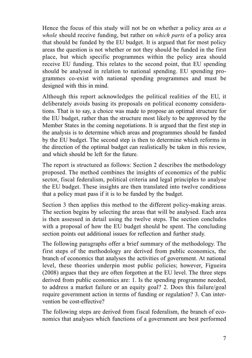Hence the focus of this study will not be on whether a policy area *as a whole* should receive funding, but rather on *which parts* of a policy area that should be funded by the EU budget. It is argued that for most policy areas the question is not whether or not they should be funded in the first place, but which specific programmes within the policy area should receive EU funding. This relates to the second point, that EU spending should be analysed in relation to national spending. EU spending programmes co-exist with national spending programmes and must be designed with this in mind.

Although this report acknowledges the political realities of the EU, it deliberately avoids basing its proposals on political economy considerations. That is to say, a choice was made to propose an optimal structure for the EU budget, rather than the structure most likely to be approved by the Member States in the coming negotiations. It is argued that the first step in the analysis is to determine which areas and programmes should be funded by the EU budget. The second step is then to determine which reforms in the direction of the optimal budget can realistically be taken in this review, and which should be left for the future.

The report is structured as follows: Section 2 describes the methodology proposed. The method combines the insights of economics of the public sector, fiscal federalism, political criteria and legal principles to analyse the EU budget. These insights are then translated into twelve conditions that a policy must pass if it is to be funded by the budget.

Section 3 then applies this method to the different policy-making areas. The section begins by selecting the areas that will be analysed. Each area is then assessed in detail using the twelve steps. The section concludes with a proposal of how the EU budget should be spent. The concluding section points out additional issues for reflection and further study.

The following paragraphs offer a brief summary of the methodology. The first steps of the methodology are derived from public economics, the branch of economics that analyses the activities of government. At national level, these theories underpin most public policies; however, Figueira (2008) argues that they are often forgotten at the EU level. The three steps derived from public economics are: 1. Is the spending programme needed, to address a market failure or an equity goal? 2. Does this failure/goal require government action in terms of funding or regulation? 3. Can intervention be cost-effective?

The following steps are derived from fiscal federalism, the branch of economics that analyses which functions of a government are best performed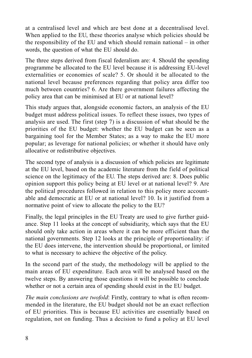at a centralised level and which are best done at a decentralised level. When applied to the EU, these theories analyse which policies should be the responsibility of the EU and which should remain national – in other words, the question of what the EU should do.

The three steps derived from fiscal federalism are: 4. Should the spending programme be allocated to the EU level because it is addressing EU-level externalities or economies of scale? 5. Or should it be allocated to the national level because preferences regarding that policy area differ too much between countries? 6. Are there government failures affecting the policy area that can be minimised at EU or at national level?

This study argues that, alongside economic factors, an analysis of the EU budget must address political issues. To reflect these issues, two types of analysis are used. The first (step 7) is a discussion of what should be the priorities of the EU budget: whether the EU budget can be seen as a bargaining tool for the Member States; as a way to make the EU more popular; as leverage for national policies; or whether it should have only allocative or redistributive objectives.

The second type of analysis is a discussion of which policies are legitimate at the EU level, based on the academic literature from the field of political science on the legitimacy of the EU. The steps derived are: 8. Does public opinion support this policy being at EU level or at national level? 9. Are the political procedures followed in relation to this policy more accountable and democratic at EU or at national level? 10. Is it justified from a normative point of view to allocate the policy to the EU?

Finally, the legal principles in the EU Treaty are used to give further guidance. Step 11 looks at the concept of subsidiarity, which says that the EU should only take action in areas where it can be more efficient than the national governments. Step 12 looks at the principle of proportionality: if the EU does intervene, the intervention should be proportional, or limited to what is necessary to achieve the objective of the policy.

In the second part of the study, the methodology will be applied to the main areas of EU expenditure. Each area will be analysed based on the twelve steps. By answering those questions it will be possible to conclude whether or not a certain area of spending should exist in the EU budget.

*The main conclusions are twofold*: Firstly, contrary to what is often recommended in the literature, the EU budget should not be an exact reflection of EU priorities. This is because EU activities are essentially based on regulation, not on funding. Thus a decision to fund a policy at EU level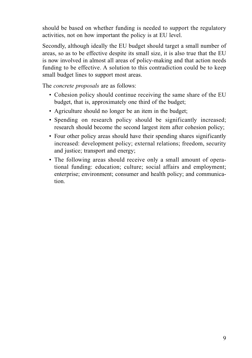should be based on whether funding is needed to support the regulatory activities, not on how important the policy is at EU level.

Secondly, although ideally the EU budget should target a small number of areas, so as to be effective despite its small size, it is also true that the EU is now involved in almost all areas of policy-making and that action needs funding to be effective. A solution to this contradiction could be to keep small budget lines to support most areas.

The *concrete proposals* are as follows:

- Cohesion policy should continue receiving the same share of the EU budget, that is, approximately one third of the budget;
- Agriculture should no longer be an item in the budget;
- Spending on research policy should be significantly increased: research should become the second largest item after cohesion policy;
- Four other policy areas should have their spending shares significantly increased: development policy; external relations; freedom, security and justice; transport and energy;
- The following areas should receive only a small amount of operational funding: education; culture; social affairs and employment; enterprise; environment; consumer and health policy; and communication.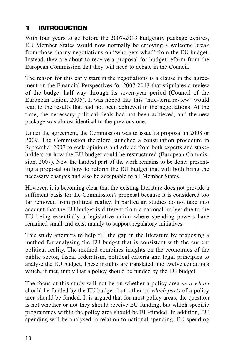## **1 INTRODUCTION**

With four years to go before the 2007-2013 budgetary package expires, EU Member States would now normally be enjoying a welcome break from those thorny negotiations on "who gets what" from the EU budget. Instead, they are about to receive a proposal for budget reform from the European Commission that they will need to debate in the Council.

The reason for this early start in the negotiations is a clause in the agreement on the Financial Perspectives for 2007-2013 that stipulates a review of the budget half way through its seven-year period (Council of the European Union, 2005). It was hoped that this "mid-term review" would lead to the results that had not been achieved in the negotiations. At the time, the necessary political deals had not been achieved, and the new package was almost identical to the previous one.

Under the agreement, the Commission was to issue its proposal in 2008 or 2009. The Commission therefore launched a consultation procedure in September 2007 to seek opinions and advice from both experts and stakeholders on how the EU budget could be restructured (European Commission, 2007). Now the hardest part of the work remains to be done: presenting a proposal on how to reform the EU budget that will both bring the necessary changes and also be acceptable to all Member States.

However, it is becoming clear that the existing literature does not provide a sufficient basis for the Commission's proposal because it is considered too far removed from political reality. In particular, studies do not take into account that the EU budget is different from a national budget due to the EU being essentially a legislative union where spending powers have remained small and exist mainly to support regulatory initiatives.

This study attempts to help fill the gap in the literature by proposing a method for analysing the EU budget that is consistent with the current political reality. The method combines insights on the economics of the public sector, fiscal federalism, political criteria and legal principles to analyse the EU budget. These insights are translated into twelve conditions which, if met, imply that a policy should be funded by the EU budget.

The focus of this study will not be on whether a policy area *as a whole* should be funded by the EU budget, but rather on *which parts* of a policy area should be funded. It is argued that for most policy areas, the question is not whether or not they should receive EU funding, but which specific programmes within the policy area should be EU-funded. In addition, EU spending will be analysed in relation to national spending. EU spending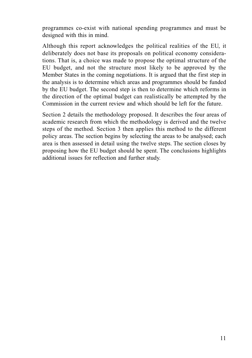programmes co-exist with national spending programmes and must be designed with this in mind.

Although this report acknowledges the political realities of the EU, it deliberately does not base its proposals on political economy considerations. That is, a choice was made to propose the optimal structure of the EU budget, and not the structure most likely to be approved by the Member States in the coming negotiations. It is argued that the first step in the analysis is to determine which areas and programmes should be funded by the EU budget. The second step is then to determine which reforms in the direction of the optimal budget can realistically be attempted by the Commission in the current review and which should be left for the future.

Section 2 details the methodology proposed. It describes the four areas of academic research from which the methodology is derived and the twelve steps of the method. Section 3 then applies this method to the different policy areas. The section begins by selecting the areas to be analysed; each area is then assessed in detail using the twelve steps. The section closes by proposing how the EU budget should be spent. The conclusions highlights additional issues for reflection and further study.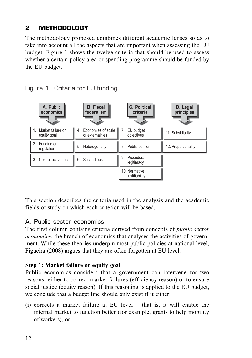## **2 METHODOLOGY**

The methodology proposed combines different academic lenses so as to take into account all the aspects that are important when assessing the EU budget. Figure 1 shows the twelve criteria that should be used to assess whether a certain policy area or spending programme should be funded by the EU budget.



Figure 1 Criteria for EU funding

This section describes the criteria used in the analysis and the academic fields of study on which each criterion will be based.

## A. Public sector economics

The first column contains criteria derived from concepts of *public sector economics*, the branch of economics that analyses the activities of government. While these theories underpin most public policies at national level, Figueira (2008) argues that they are often forgotten at EU level.

## **Step 1: Market failure or equity goal**

Public economics considers that a government can intervene for two reasons: either to correct market failures (efficiency reason) or to ensure social justice (equity reason). If this reasoning is applied to the EU budget, we conclude that a budget line should only exist if it either:

(i) corrects a market failure at EU level – that is, it will enable the internal market to function better (for example, grants to help mobility of workers), or;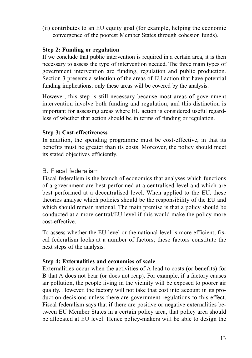(ii) contributes to an EU equity goal (for example, helping the economic convergence of the poorest Member States through cohesion funds).

## **Step 2: Funding or regulation**

If we conclude that public intervention is required in a certain area, it is then necessary to assess the type of intervention needed. The three main types of government intervention are funding, regulation and public production. Section 3 presents a selection of the areas of EU action that have potential funding implications; only these areas will be covered by the analysis.

However, this step is still necessary because most areas of government intervention involve both funding and regulation, and this distinction is important for assessing areas where EU action is considered useful regardless of whether that action should be in terms of funding or regulation.

## **Step 3: Cost-effectiveness**

In addition, the spending programme must be cost-effective, in that its benefits must be greater than its costs. Moreover, the policy should meet its stated objectives efficiently.

## B. Fiscal federalism

Fiscal federalism is the branch of economics that analyses which functions of a government are best performed at a centralised level and which are best performed at a decentralised level. When applied to the EU, these theories analyse which policies should be the responsibility of the EU and which should remain national. The main premise is that a policy should be conducted at a more central/EU level if this would make the policy more cost-effective.

To assess whether the EU level or the national level is more efficient, fiscal federalism looks at a number of factors; these factors constitute the next steps of the analysis.

## **Step 4: Externalities and economies of scale**

Externalities occur when the activities of A lead to costs (or benefits) for B that A does not bear (or does not reap). For example, if a factory causes air pollution, the people living in the vicinity will be exposed to poorer air quality. However, the factory will not take that cost into account in its production decisions unless there are government regulations to this effect. Fiscal federalism says that if there are positive or negative externalities between EU Member States in a certain policy area, that policy area should be allocated at EU level. Hence policy-makers will be able to design the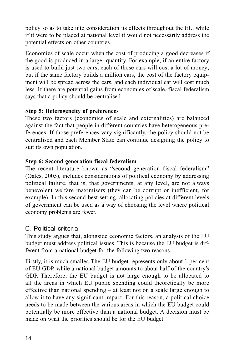policy so as to take into consideration its effects throughout the EU, while if it were to be placed at national level it would not necessarily address the potential effects on other countries.

Economies of scale occur when the cost of producing a good decreases if the good is produced in a larger quantity. For example, if an entire factory is used to build just two cars, each of those cars will cost a lot of money; but if the same factory builds a million cars, the cost of the factory equipment will be spread across the cars, and each individual car will cost much less. If there are potential gains from economies of scale, fiscal federalism says that a policy should be centralised.

## **Step 5: Heterogeneity of preferences**

These two factors (economies of scale and externalities) are balanced against the fact that people in different countries have heterogeneous preferences. If those preferences vary significantly, the policy should not be centralised and each Member State can continue designing the policy to suit its own population.

## **Step 6: Second generation fiscal federalism**

The recent literature known as "second generation fiscal federalism" (Oates, 2005), includes considerations of political economy by addressing political failure, that is, that governments, at any level, are not always benevolent welfare maximisers (they can be corrupt or inefficient, for example). In this second-best setting, allocating policies at different levels of government can be used as a way of choosing the level where political economy problems are fewer.

## C. Political criteria

This study argues that, alongside economic factors, an analysis of the EU budget must address political issues. This is because the EU budget is different from a national budget for the following two reasons.

Firstly, it is much smaller. The EU budget represents only about 1 per cent of EU GDP, while a national budget amounts to about half of the country's GDP. Therefore, the EU budget is not large enough to be allocated to all the areas in which EU public spending could theoretically be more effective than national spending – at least not on a scale large enough to allow it to have any significant impact. For this reason, a political choice needs to be made between the various areas in which the EU budget could potentially be more effective than a national budget. A decision must be made on what the priorities should be for the EU budget.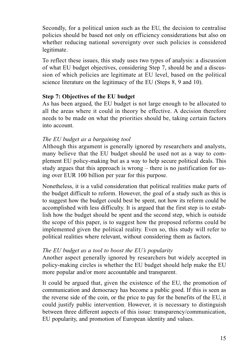Secondly, for a political union such as the EU, the decision to centralise policies should be based not only on efficiency considerations but also on whether reducing national sovereignty over such policies is considered legitimate.

To reflect these issues, this study uses two types of analysis: a discussion of what EU budget objectives, considering Step 7, should be and a discussion of which policies are legitimate at EU level, based on the political science literature on the legitimacy of the EU (Steps 8, 9 and 10).

## **Step 7: Objectives of the EU budget**

As has been argued, the EU budget is not large enough to be allocated to all the areas where it could in theory be effective. A decision therefore needs to be made on what the priorities should be, taking certain factors into account.

## *The EU budget as a bargaining tool*

Although this argument is generally ignored by researchers and analysts, many believe that the EU budget should be used not as a way to complement EU policy-making but as a way to help secure political deals. This study argues that this approach is wrong – there is no justification for using over EUR 100 billion per year for this purpose.

Nonetheless, it is a valid consideration that political realities make parts of the budget difficult to reform. However, the goal of a study such as this is to suggest how the budget could best be spent, not how its reform could be accomplished with less difficulty. It is argued that the first step is to establish how the budget should be spent and the second step, which is outside the scope of this paper, is to suggest how the proposed reforms could be implemented given the political reality. Even so, this study will refer to political realities where relevant, without considering them as factors.

## *The EU budget as a tool to boost the EU's popularity*

Another aspect generally ignored by researchers but widely accepted in policy-making circles is whether the EU budget should help make the EU more popular and/or more accountable and transparent.

It could be argued that, given the existence of the EU, the promotion of communication and democracy has become a public good. If this is seen as the reverse side of the coin, or the price to pay for the benefits of the EU, it could justify public intervention. However, it is necessary to distinguish between three different aspects of this issue: transparency/communication, EU popularity, and promotion of European identity and values.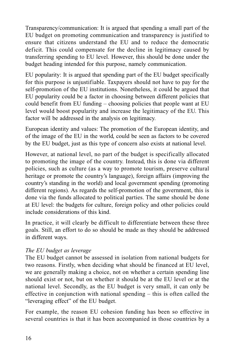Transparency/communication: It is argued that spending a small part of the EU budget on promoting communication and transparency is justified to ensure that citizens understand the EU and to reduce the democratic deficit. This could compensate for the decline in legitimacy caused by transferring spending to EU level. However, this should be done under the budget heading intended for this purpose, namely communication.

EU popularity: It is argued that spending part of the EU budget specifically for this purpose is unjustifiable. Taxpayers should not have to pay for the self-promotion of the EU institutions. Nonetheless, it could be argued that EU popularity could be a factor in choosing between different policies that could benefit from EU funding – choosing policies that people want at EU level would boost popularity and increase the legitimacy of the EU. This factor will be addressed in the analysis on legitimacy.

European identity and values: The promotion of the European identity, and of the image of the EU in the world, could be seen as factors to be covered by the EU budget, just as this type of concern also exists at national level.

However, at national level, no part of the budget is specifically allocated to promoting the image of the country. Instead, this is done via different policies, such as culture (as a way to promote tourism, preserve cultural heritage or promote the country's language), foreign affairs (improving the country's standing in the world) and local government spending (promoting different regions). As regards the self-promotion of the government, this is done via the funds allocated to political parties. The same should be done at EU level: the budgets for culture, foreign policy and other policies could include considerations of this kind.

In practice, it will clearly be difficult to differentiate between these three goals. Still, an effort to do so should be made as they should be addressed in different ways.

## *The EU budget as leverage*

The EU budget cannot be assessed in isolation from national budgets for two reasons. Firstly, when deciding what should be financed at EU level, we are generally making a choice, not on whether a certain spending line should exist or not, but on whether it should be at the EU level or at the national level. Secondly, as the EU budget is very small, it can only be effective in conjunction with national spending – this is often called the "leveraging effect" of the EU budget.

For example, the reason EU cohesion funding has been so effective in several countries is that it has been accompanied in those countries by a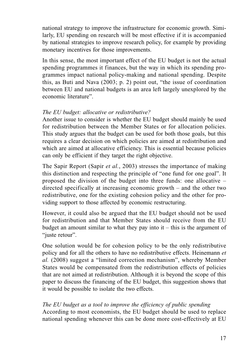national strategy to improve the infrastructure for economic growth. Similarly, EU spending on research will be most effective if it is accompanied by national strategies to improve research policy, for example by providing monetary incentives for those improvements.

In this sense, the most important effect of the EU budget is not the actual spending programmes it finances, but the way in which its spending programmes impact national policy-making and national spending. Despite this, as Buti and Nava (2003; p. 2) point out, "the issue of coordination between EU and national budgets is an area left largely unexplored by the economic literature".

## *The EU budget: allocative or redistributive?*

Another issue to consider is whether the EU budget should mainly be used for redistribution between the Member States or for allocation policies. This study argues that the budget can be used for both those goals, but this requires a clear decision on which policies are aimed at redistribution and which are aimed at allocative efficiency. This is essential because policies can only be efficient if they target the right objective.

The Sapir Report (Sapir *et al.*, 2003) stresses the importance of making this distinction and respecting the principle of "one fund for one goal". It proposed the division of the budget into three funds: one allocative – directed specifically at increasing economic growth – and the other two redistributive, one for the existing cohesion policy and the other for providing support to those affected by economic restructuring.

However, it could also be argued that the EU budget should not be used for redistribution and that Member States should receive from the EU budget an amount similar to what they pay into  $it - this$  is the argument of "juste retour".

One solution would be for cohesion policy to be the only redistributive policy and for all the others to have no redistributive effects. Heinemann *et al.* (2008) suggest a "limited correction mechanism", whereby Member States would be compensated from the redistribution effects of policies that are not aimed at redistribution. Although it is beyond the scope of this paper to discuss the financing of the EU budget, this suggestion shows that it would be possible to isolate the two effects.

## *The EU budget as a tool to improve the efficiency of public spending*

According to most economists, the EU budget should be used to replace national spending whenever this can be done more cost-effectively at EU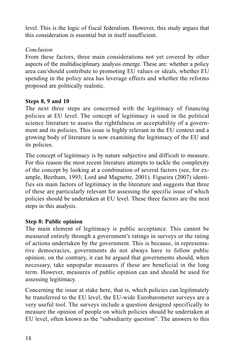level. This is the logic of fiscal federalism. However, this study argues that this consideration is essential but in itself insufficient.

## *Conclusion*

From these factors, three main considerations not yet covered by other aspects of the multidisciplinary analysis emerge. These are: whether a policy area can/should contribute to promoting EU values or ideals, whether EU spending in the policy area has leverage effects and whether the reforms proposed are politically realistic.

## **Steps 8, 9 and 10**

The next three steps are concerned with the legitimacy of financing policies at EU level. The concept of legitimacy is used in the political science literature to assess the rightfulness or acceptability of a government and its policies. This issue is highly relevant in the EU context and a growing body of literature is now examining the legitimacy of the EU and its policies.

The concept of legitimacy is by nature subjective and difficult to measure. For this reason the most recent literature attempts to tackle the complexity of the concept by looking at a combination of several factors (see, for example, Beetham, 1993; Lord and Magnette, 2001). Figueira (2007) identifies six main factors of legitimacy in the literature and suggests that three of these are particularly relevant for assessing the specific issue of which policies should be undertaken at EU level. These three factors are the next steps in this analysis.

## **Step 8: Public opinion**

The main element of legitimacy is public acceptance. This cannot be measured entirely through a government's ratings in surveys or the rating of actions undertaken by the government. This is because, in representative democracies, governments do not always have to follow public opinion; on the contrary, it can be argued that governments should, when necessary, take unpopular measures if these are beneficial in the long term. However, measures of public opinion can and should be used for assessing legitimacy.

Concerning the issue at stake here, that is, which policies can legitimately be transferred to the EU level, the EU-wide Eurobarometer surveys are a very useful tool. The surveys include a question designed specifically to measure the opinion of people on which policies should be undertaken at EU level, often known as the "subsidiarity question". The answers to this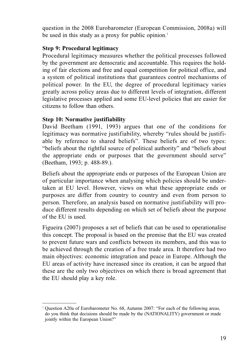question in the 2008 Eurobarometer (European Commission, 2008a) will be used in this study as a proxy for public opinion.<sup>1</sup>

## **Step 9: Procedural legitimacy**

Procedural legitimacy measures whether the political processes followed by the government are democratic and accountable. This requires the holding of fair elections and free and equal competition for political office, and a system of political institutions that guarantees control mechanisms of political power. In the EU, the degree of procedural legitimacy varies greatly across policy areas due to different levels of integration, different legislative processes applied and some EU-level policies that are easier for citizens to follow than others.

## **Step 10: Normative justifiability**

David Beetham (1991, 1993) argues that one of the conditions for legitimacy was normative justifiability, whereby "rules should be justifiable by reference to shared beliefs". These beliefs are of two types: "beliefs about the rightful source of political authority" and "beliefs about the appropriate ends or purposes that the government should serve" (Beetham, 1993; p. 488-89.).

Beliefs about the appropriate ends or purposes of the European Union are of particular importance when analysing which policies should be undertaken at EU level. However, views on what these appropriate ends or purposes are differ from country to country and even from person to person. Therefore, an analysis based on normative justifiability will produce different results depending on which set of beliefs about the purpose of the EU is used.

Figueira (2007) proposes a set of beliefs that can be used to operationalise this concept. The proposal is based on the premise that the EU was created to prevent future wars and conflicts between its members, and this was to be achieved through the creation of a free trade area. It therefore had two main objectives: economic integration and peace in Europe. Although the EU areas of activity have increased since its creation, it can be argued that these are the only two objectives on which there is broad agreement that the EU should play a key role.

<sup>&</sup>lt;sup>1</sup> Ouestion A20a of Eurobarometer No. 68, Autumn 2007: "For each of the following areas, do you think that decisions should be made by the (NATIONALITY) government or made jointly within the European Union?"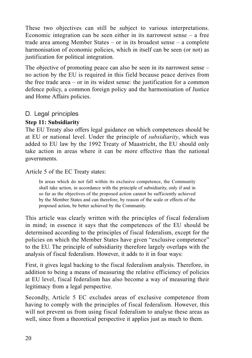These two objectives can still be subject to various interpretations. Economic integration can be seen either in its narrowest sense – a free trade area among Member States – or in its broadest sense – a complete harmonisation of economic policies, which in itself can be seen (or not) as justification for political integration.

The objective of promoting peace can also be seen in its narrowest sense – no action by the EU is required in this field because peace derives from the free trade area  $-$  or in its widest sense: the justification for a common defence policy, a common foreign policy and the harmonisation of Justice and Home Affairs policies.

## D. Legal principles

## **Step 11: Subsidiarity**

The EU Treaty also offers legal guidance on which competences should be at EU or national level. Under the principle of *subsidiarity*, which was added to EU law by the 1992 Treaty of Maastricht, the EU should only take action in areas where it can be more effective than the national governments.

## Article 5 of the EC Treaty states:

In areas which do not fall within its exclusive competence, the Community shall take action, in accordance with the principle of subsidiarity, only if and in so far as the objectives of the proposed action cannot be sufficiently achieved by the Member States and can therefore, by reason of the scale or effects of the proposed action, be better achieved by the Community.

This article was clearly written with the principles of fiscal federalism in mind; in essence it says that the competences of the EU should be determined according to the principles of fiscal federalism, except for the policies on which the Member States have given "exclusive competence" to the EU. The principle of subsidiarity therefore largely overlaps with the analysis of fiscal federalism. However, it adds to it in four ways:

First, it gives legal backing to the fiscal federalism analysis. Therefore, in addition to being a means of measuring the relative efficiency of policies at EU level, fiscal federalism has also become a way of measuring their legitimacy from a legal perspective.

Secondly, Article 5 EC excludes areas of exclusive competence from having to comply with the principles of fiscal federalism. However, this will not prevent us from using fiscal federalism to analyse these areas as well, since from a theoretical perspective it applies just as much to them.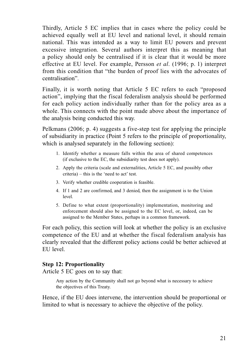Thirdly, Article 5 EC implies that in cases where the policy could be achieved equally well at EU level and national level, it should remain national. This was intended as a way to limit EU powers and prevent excessive integration. Several authors interpret this as meaning that a policy should only be centralised if it is clear that it would be more effective at EU level. For example, Persson *et al*. (1996; p. 1) interpret from this condition that "the burden of proof lies with the advocates of centralisation".

Finally, it is worth noting that Article 5 EC refers to each "proposed action", implying that the fiscal federalism analysis should be performed for each policy action individually rather than for the policy area as a whole. This connects with the point made above about the importance of the analysis being conducted this way.

Pelkmans (2006; p. 4) suggests a five-step test for applying the principle of subsidiarity in practice (Point 5 refers to the principle of proportionality, which is analysed separately in the following section):

- 1. Identify whether a measure falls within the area of shared competences (if exclusive to the EC, the subsidiarity test does not apply).
- 2. Apply the criteria (scale and externalities, Article 5 EC, and possibly other criteria) – this is the 'need to act' test.
- 3. Verify whether credible cooperation is feasible.
- 4. If 1 and 2 are confirmed, and 3 denied, then the assignment is to the Union level.
- 5. Define to what extent (proportionality) implementation, monitoring and enforcement should also be assigned to the EC level, or, indeed, can be assigned to the Member States, perhaps in a common framework.

For each policy, this section will look at whether the policy is an exclusive competence of the EU and at whether the fiscal federalism analysis has clearly revealed that the different policy actions could be better achieved at EU level.

## **Step 12: Proportionality**

Article 5 EC goes on to say that:

Any action by the Community shall not go beyond what is necessary to achieve the objectives of this Treaty.

Hence, if the EU does intervene, the intervention should be proportional or limited to what is necessary to achieve the objective of the policy.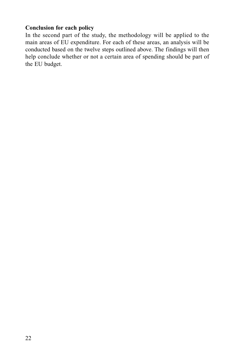## **Conclusion for each policy**

In the second part of the study, the methodology will be applied to the main areas of EU expenditure. For each of these areas, an analysis will be conducted based on the twelve steps outlined above. The findings will then help conclude whether or not a certain area of spending should be part of the EU budget.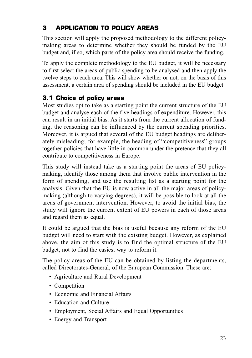## **3 APPLICATION TO POLICY AREAS**

This section will apply the proposed methodology to the different policymaking areas to determine whether they should be funded by the EU budget and, if so, which parts of the policy area should receive the funding.

To apply the complete methodology to the EU budget, it will be necessary to first select the areas of public spending to be analysed and then apply the twelve steps to each area. This will show whether or not, on the basis of this assessment, a certain area of spending should be included in the EU budget.

## **3.1 Choice of policy areas**

Most studies opt to take as a starting point the current structure of the EU budget and analyse each of the five headings of expenditure. However, this can result in an initial bias. As it starts from the current allocation of funding, the reasoning can be influenced by the current spending priorities. Moreover, it is argued that several of the EU budget headings are deliberately misleading; for example, the heading of "competitiveness" groups together policies that have little in common under the pretence that they all contribute to competitiveness in Europe.

This study will instead take as a starting point the areas of EU policymaking, identify those among them that involve public intervention in the form of spending, and use the resulting list as a starting point for the analysis. Given that the EU is now active in all the major areas of policymaking (although to varying degrees), it will be possible to look at all the areas of government intervention. However, to avoid the initial bias, the study will ignore the current extent of EU powers in each of those areas and regard them as equal.

It could be argued that the bias is useful because any reform of the EU budget will need to start with the existing budget. However, as explained above, the aim of this study is to find the optimal structure of the EU budget, not to find the easiest way to reform it.

The policy areas of the EU can be obtained by listing the departments, called Directorates-General, of the European Commission. These are:

- Agriculture and Rural Development
- Competition
- Economic and Financial Affairs
- Education and Culture
- Employment, Social Affairs and Equal Opportunities
- Energy and Transport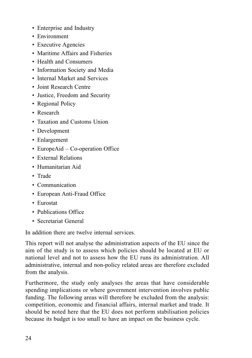- Enterprise and Industry
- Environment
- Executive Agencies
- Maritime Affairs and Fisheries
- Health and Consumers
- Information Society and Media
- Internal Market and Services
- Joint Research Centre
- Justice, Freedom and Security
- Regional Policy
- Research
- Taxation and Customs Union
- Development
- Enlargement
- EuropeAid Co-operation Office
- External Relations
- Humanitarian Aid
- Trade
- Communication
- European Anti-Fraud Office
- Eurostat
- Publications Office
- Secretariat General

In addition there are twelve internal services.

This report will not analyse the administration aspects of the EU since the aim of the study is to assess which policies should be located at EU or national level and not to assess how the EU runs its administration. All administrative, internal and non-policy related areas are therefore excluded from the analysis.

Furthermore, the study only analyses the areas that have considerable spending implications or where government intervention involves public funding. The following areas will therefore be excluded from the analysis: competition, economic and financial affairs, internal market and trade. It should be noted here that the EU does not perform stabilisation policies because its budget is too small to have an impact on the business cycle.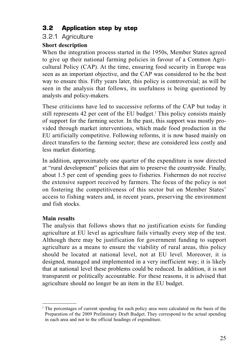## **3.2 Application step by step**

## 3.2.1 Agriculture

## **Short description**

When the integration process started in the 1950s, Member States agreed to give up their national farming policies in favour of a Common Agricultural Policy (CAP). At the time, ensuring food security in Europe was seen as an important objective, and the CAP was considered to be the best way to ensure this. Fifty years later, this policy is controversial; as will be seen in the analysis that follows, its usefulness is being questioned by analysts and policy-makers.

These criticisms have led to successive reforms of the CAP but today it still represents 42 per cent of the EU budget.<sup>2</sup> This policy consists mainly of support for the farming sector. In the past, this support was mostly provided through market interventions, which made food production in the EU artificially competitive. Following reforms, it is now based mainly on direct transfers to the farming sector; these are considered less costly and less market distorting.

In addition, approximately one quarter of the expenditure is now directed at "rural development" policies that aim to preserve the countryside. Finally, about 1.5 per cent of spending goes to fisheries. Fishermen do not receive the extensive support received by farmers. The focus of the policy is not on fostering the competitiveness of this sector but on Member States' access to fishing waters and, in recent years, preserving the environment and fish stocks.

## **Main results**

The analysis that follows shows that no justification exists for funding agriculture at EU level as agriculture fails virtually every step of the test. Although there may be justification for government funding to support agriculture as a means to ensure the viability of rural areas, this policy should be located at national level, not at EU level. Moreover, it is designed, managed and implemented in a very inefficient way; it is likely that at national level these problems could be reduced. In addition, it is not transparent or politically accountable. For these reasons, it is advised that agriculture should no longer be an item in the EU budget.

<sup>&</sup>lt;sup>2</sup> The percentages of current spending for each policy area were calculated on the basis of the Preparation of the 2009 Preliminary Draft Budget. They correspond to the actual spending in each area and not to the official headings of expenditure.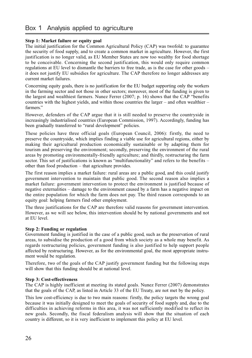#### **Step 1: Market failure or equity goal**

The initial justification for the Common Agricultural Policy (CAP) was twofold: to guarantee the security of food supply, and to create a common market in agriculture. However, the first justification is no longer valid, as EU Member States are now too wealthy for food shortage to be conceivable. Concerning the second justification, this would only require common regulations at EU level to dismantle the barriers to free trade, as is the case for other goods – it does not justify EU subsidies for agriculture. The CAP therefore no longer addresses any current market failures.

Concerning equity goals, there is no justification for the EU budget supporting only the workers in the farming sector and not those in other sectors; moreover, most of the funding is given to the largest and wealthiest farmers. Nunez Ferrer (2007; p. 16) shows that the CAP "benefits countries with the highest yields, and within those countries the larger – and often wealthier – farmers."

However, defenders of the CAP argue that it is still needed to preserve the countryside in increasingly industrialised countries (European Commission, 1997). Accordingly, funding has been gradually transferred to "rural development" policies.

These policies have three official goals (European Council, 2006): firstly, the need to preserve the countryside, which implies finding a viable use for agricultural regions, either by making their agricultural production economically sustainable or by adapting them for tourism and preserving the environment; secondly, preserving the environment of the rural areas by promoting environmentally-friendly agriculture; and thirdly, restructuring the farm sector. This set of justifications is known as "multifunctionality" and refers to the benefits – other than food production – that agriculture provides.

The first reason implies a market failure: rural areas are a public good, and this could justify government intervention to maintain that public good. The second reason also implies a market failure: government intervention to protect the environment is justified because of negative externalities – damage to the environment caused by a farm has a negative impact on the entire population for which the farm does not pay. The third reason corresponds to an equity goal: helping farmers find other employment.

The three justifications for the CAP are therefore valid reasons for government intervention. However, as we will see below, this intervention should be by national governments and not at EU level.

#### **Step 2: Funding or regulation**

Government funding is justified in the case of a public good, such as the preservation of rural areas, to subsidise the production of a good from which society as a whole may benefit. As regards restructuring policies, government funding is also justified to help support people affected by restructuring. However, as for the environmental goal, the most appropriate instrument would be regulation.

Therefore, two of the goals of the CAP justify government funding but the following steps will show that this funding should be at national level.

#### **Step 3: Cost-effectiveness**

The CAP is highly inefficient at meeting its stated goals. Nunez Ferrer (2007) demonstrates that the goals of the CAP, as listed in Article 33 of the EU Treaty, are not met by the policy.

This low cost-efficiency is due to two main reasons: firstly, the policy targets the wrong goal because it was initially designed to meet the goals of security of food supply and, due to the difficulties in achieving reforms in this area, it was not sufficiently modified to reflect its new goals. Secondly, the fiscal federalism analysis will show that the situation of each country is different, so it is very inefficient to implement this policy at EU level.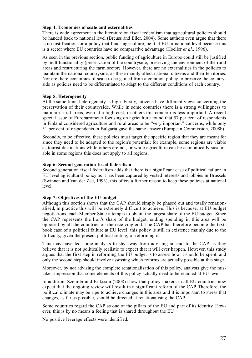#### **Step 4: Economies of scale and externalities**

There is wide agreement in the literature on fiscal federalism that agricultural policies should be handed back to national level (Breuss and Eller, 2004). Some authors even argue that there is no justification for a policy that funds agriculture, be it at EU or national level because this is a sector where EU countries have no comparative advantage (Hoeller *et al*., 1996).

As seen in the previous section, public funding of agriculture in Europe could still be justified by multifunctionality (preservation of the countryside, preserving the environment of the rural areas and restructuring the farm sector). However, there are no externalities in the policies to maintain the national countryside, as these mainly affect national citizens and their territories. Nor are there economies of scale to be gained from a common policy to preserve the countryside as policies need to be differentiated to adapt to the different conditions of each country.

#### **Step 5: Heterogeneity**

At the same time, heterogeneity is high. Firstly, citizens have different views concerning the preservation of their countryside. While in some countries there is a strong willingness to maintain rural areas, even at a high cost, in others this concern is less important. A recent special issue of Eurobarometer focusing on agriculture found that 57 per cent of respondents in Finland considered agriculture and rural areas to be "very important" concerns, while only 31 per cent of respondents in Bulgaria gave the same answer (European Commission, 2008b).

Secondly, to be effective, these policies must target the specific region that they are meant for since they need to be adapted to the region's potential; for example, some regions are viable as tourist destinations while others are not, or while agriculture can be economically sustainable in some regions this does not apply to all regions.

#### **Step 6: Second generation fiscal federalism**

Second generation fiscal federalism adds that there is a significant case of political failure in EU level agricultural policy as it has been captured by vested interests and lobbies in Brussels (Swinnen and Van der Zee, 1993); this offers a further reason to keep these policies at national level.

#### **Step 7: Objectives of the EU budget**

Although this section shows that the CAP should simply be phased out and totally renationalised, in practice this will be extremely difficult to achieve. This is because, at EU budget negotiations, each Member State attempts to obtain the largest share of the EU budget. Since the CAP represents the lion's share of the budget, ending spending in this area will be opposed by all the countries on the receiving end. The CAP has therefore become the textbook case of a political failure at EU level; this policy is still in existence mainly due to the difficulty, given the present political setting, of reforming it.

This may have led some analysts to shy away from advising an end to the CAP, as they believe that it is not politically realistic to expect that it will ever happen. However, this study argues that the first step in reforming the EU budget is to assess how it should be spent, and only the second step should involve assessing which reforms are actually possible at this stage.

Moreover, by not advising the complete renationalisation of this policy, analysts give the mistaken impression that some elements of this policy actually need to be retained at EU level.

In addition, Szemlér and Eriksson (2008) show that policy-makers in all EU countries now expect that the ongoing review will result in a significant reform of the CAP. Therefore, the political climate may be ripe to achieve changes in this area and it is important to stress that changes, as far as possible, should be directed at renationalising the CAP.

Some countries regard the CAP as one of the pillars of the EU and part of its identity. However, this is by no means a feeling that is shared throughout the EU.

No positive leverage effects were identified.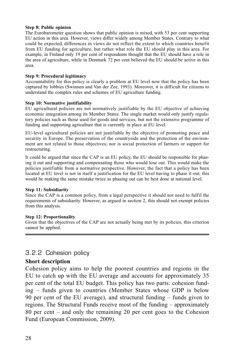#### **Step 8: Public opinion**

The Eurobarometer question shows that public opinion is mixed, with 53 per cent supporting EU action in this area. However, views differ widely among Member States. Contrary to what could be expected, differences in views do not reflect the extent to which countries benefit from EU funding for agriculture, but rather what role the EU should play in this area. For example, in Finland only 19 per cent of respondents thought that the EU should have a role in the area of agriculture, while in Denmark 72 per cent believed the EU should be active in this area.

#### **Step 9: Procedural legitimacy**

Accountability for this policy is clearly a problem at EU level now that the policy has been captured by lobbies (Swinnen and Van der Zee, 1993). Moreover, it is difficult for citizens to understand the complex rules and schemes of EU agriculture funding.

#### **Step 10: Normative justifiability**

EU agricultural policies are not normatively justifiable by the EU objective of achieving economic integration among its Member States. The single market would only justify regulatory policies such as those used for goods and services, but not the extensive programme of funding and supporting agriculture that is currently in place at EU level.

EU-level agricultural policies are not justifiable by the objective of promoting peace and security in Europe. The preservation of the countryside and the protection of the environment are not related to those objectives; nor is social protection of farmers or support for restructuring.

It could be argued that since the CAP is an EU policy, the EU should be responsible for phasing it out and supporting and compensating those who would lose out. This would make the policies justifiable from a normative perspective. However, the fact that a policy has been located at EU level is not in itself a justification for the EU level having to phase it out; this would be making the same mistake twice as phasing out can be best done at national level.

#### **Step 11: Subsidiarity**

Since the CAP is a common policy, from a legal perspective it should not need to fulfil the requirements of subsidiarity. However, as argued in section 2, this should not exempt policies from this analysis.

#### **Step 12: Proportionality**

Given that the objectives of the CAP are not actually being met by its policies, this criterion cannot be applied.

#### 3.2.2 Cohesion policy

#### **Short description**

Cohesion policy aims to help the poorest countries and regions in the EU to catch up with the EU average and accounts for approximately 35 per cent of the total EU budget. This policy has two parts: cohesion funding – funds given to countries (Member States whose GDP is below 90 per cent of the EU average), and structural funding – funds given to regions. The Structural Funds receive most of the funding – approximately 80 per cent – and only the remaining 20 per cent goes to the Cohesion Fund (European Commission, 2009).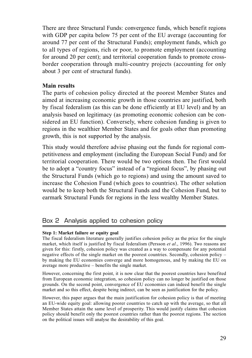There are three Structural Funds: convergence funds, which benefit regions with GDP per capita below 75 per cent of the EU average (accounting for around 77 per cent of the Structural Funds); employment funds, which go to all types of regions, rich or poor, to promote employment (accounting for around 20 per cent); and territorial cooperation funds to promote crossborder cooperation through multi-country projects (accounting for only about 3 per cent of structural funds).

## **Main results**

The parts of cohesion policy directed at the poorest Member States and aimed at increasing economic growth in those countries are justified, both by fiscal federalism (as this can be done efficiently at EU level) and by an analysis based on legitimacy (as promoting economic cohesion can be considered an EU function). Conversely, where cohesion funding is given to regions in the wealthier Member States and for goals other than promoting growth, this is not supported by the analysis.

This study would therefore advise phasing out the funds for regional competitiveness and employment (including the European Social Fund) and for territorial cooperation. There would be two options then. The first would be to adopt a "country focus" instead of a "regional focus", by phasing out the Structural Funds (which go to regions) and using the amount saved to increase the Cohesion Fund (which goes to countries). The other solution would be to keep both the Structural Funds and the Cohesion Fund, but to earmark Structural Funds for regions in the less wealthy Member States.

## Box 2 Analysis applied to cohesion policy

#### **Step 1: Market failure or equity goal**

The fiscal federalism literature generally justifies cohesion policy as the price for the single market, which itself is justified by fiscal federalism (Persson *et al*., 1996). Two reasons are given for this: firstly, cohesion policy was created as a way to compensate for any potential negative effects of the single market on the poorest countries. Secondly, cohesion policy – by making the EU economies converge and more homogenous, and by making the EU on average more productive – benefits the single market.

However, concerning the first point, it is now clear that the poorest countries have benefited from European economic integration, so cohesion policy can no longer be justified on those grounds. On the second point, convergence of EU economies can indeed benefit the single market and so this effect, despite being indirect, can be seen as justification for the policy.

However, this paper argues that the main justification for cohesion policy is that of meeting an EU-wide equity goal: allowing poorer countries to catch up with the average, so that all Member States attain the same level of prosperity. This would justify claims that cohesion policy should benefit only the poorest countries rather than the poorest regions. The section on the political issues will analyse the desirability of this goal.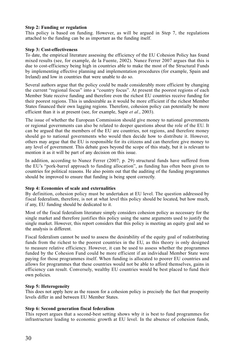#### **Step 2: Funding or regulation**

This policy is based on funding. However, as will be argued in Step 7, the regulations attached to the funding can be as important as the funding itself.

#### **Step 3: Cost-effectiveness**

To date, the empirical literature assessing the efficiency of the EU Cohesion Policy has found mixed results (see, for example, de la Fuente, 2002). Nunez Ferrer 2007 argues that this is due to cost-efficiency being high in countries able to make the most of the Structural Funds by implementing effective planning and implementation procedures (for example, Spain and Ireland) and low in countries that were unable to do so.

Several authors argue that the policy could be made considerably more efficient by changing the current "regional focus" into a "country focus". At present the poorest regions of each Member State receive funding and therefore even the richest EU countries receive funding for their poorest regions. This is undesirable as it would be more efficient if the richest Member States financed their own lagging regions. Therefore, cohesion policy can potentially be more efficient than it is at present (see, for example, Sapir *et al*., 2003).

The issue of whether the European Commission should give money to national governments or regional governments can also be related to deeper questions about the role of the EU. It can be argued that the members of the EU are countries, not regions, and therefore money should go to national governments who would then decide how to distribute it. However, others may argue that the EU is responsible for its citizens and can therefore give money to any level of government. This debate goes beyond the scope of this study, but it is relevant to mention it as it will be part of any decision on this issue.

In addition, according to Nunez Ferrer (2007; p. 29) structural funds have suffered from the EU's "pork-barrel approach to funding allocation", as funding has often been given to countries for political reasons. He also points out that the auditing of the funding programmes should be improved to ensure that funding is being spent correctly.

#### **Step 4: Economies of scale and externalities**

By definition, cohesion policy must be undertaken at EU level. The question addressed by fiscal federalism, therefore, is not at what level this policy should be located, but how much, if any, EU funding should be dedicated to it.

Most of the fiscal federalism literature simply considers cohesion policy as necessary for the single market and therefore justifies this policy using the same arguments used to justify the single market. However, this report considers that this policy is meeting an equity goal and so the analysis is different.

Fiscal federalism cannot be used to assess the desirability of the equity goal of redistributing funds from the richest to the poorest countries in the EU, as this theory is only designed to measure relative efficiency. However, it can be used to assess whether the programmes funded by the Cohesion Fund could be more efficient if an individual Member State were paying for those programmes itself. When funding is allocated to poorer EU countries and allows for programmes that these countries would not be able to afford themselves, gains in efficiency can result. Conversely, wealthy EU countries would be best placed to fund their own policies.

#### **Step 5: Heterogeneity**

This does not apply here as the reason for a cohesion policy is precisely the fact that prosperity levels differ in and between EU Member States.

#### **Step 6: Second generation fiscal federalism**

This report argues that a second-best setting shows why it is best to fund programmes for infrastructure leading to economic growth at EU level. In the absence of cohesion funds,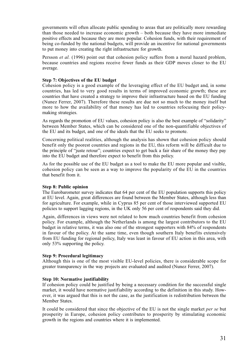governments will often allocate public spending to areas that are politically more rewarding than those needed to increase economic growth – both because they have more immediate positive effects and because they are more popular. Cohesion funds, with their requirement of being co-funded by the national budgets, will provide an incentive for national governments to put money into creating the right infrastructure for growth.

Persson *et al.* (1996) point out that cohesion policy suffers from a moral hazard problem, because countries and regions receive fewer funds as their GDP moves closer to the EU average.

#### **Step 7: Objectives of the EU budget**

Cohesion policy is a good example of the leveraging effect of the EU budget and, in some countries, has led to very good results in terms of improved economic growth; these are countries that have created a strategy to improve their infrastructure based on the EU funding (Nunez Ferrer, 2007). Therefore these results are due not so much to the money itself but more to how the availability of that money has led to countries refocusing their policymaking strategies.

As regards the promotion of EU values, cohesion policy is also the best example of "solidarity" between Member States, which can be considered one of the non-quantifiable objectives of the EU and its budget, and one of the ideals that the EU seeks to promote.

Concerning political realities, although the analysis has shown that cohesion policy should benefit only the poorest countries and regions in the EU, this reform will be difficult due to the principle of "juste retour"; countries expect to get back a fair share of the money they pay into the EU budget and therefore expect to benefit from this policy.

As for the possible use of the EU budget as a tool to make the EU more popular and visible, cohesion policy can be seen as a way to improve the popularity of the EU in the countries that benefit from it.

#### **Step 8: Public opinion**

The Eurobarometer survey indicates that 64 per cent of the EU population supports this policy at EU level. Again, great differences are found between the Member States, although less than for agriculture. For example, while in Cyprus 85 per cent of those interviewed supported EU policies to support lagging regions, in the UK only 56 per cent of respondents said they did.

Again, differences in views were not related to how much countries benefit from cohesion policy. For example, although the Netherlands is among the largest contributors to the EU budget in relative terms, it was also one of the strongest supporters with 84% of respondents in favour of the policy. At the same time, even though southern Italy benefits extensively from EU funding for regional policy, Italy was least in favour of EU action in this area, with only 53% supporting the policy.

#### **Step 9: Procedural legitimacy**

Although this is one of the most visible EU-level policies, there is considerable scope for greater transparency in the way projects are evaluated and audited (Nunez Ferrer, 2007).

#### **Step 10: Normative justifiability**

If cohesion policy could be justified by being a necessary condition for the successful single market, it would have normative justifiability according to the definition in this study. However, it was argued that this is not the case, as the justification is redistribution between the Member States.

It could be considered that since the objective of the EU is not the single market *per se* but prosperity in Europe, cohesion policy contributes to prosperity by stimulating economic growth in the regions and countries where it is implemented.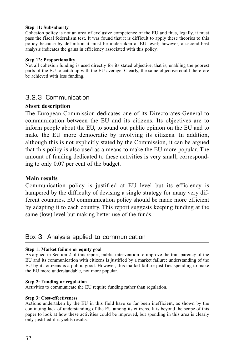#### **Step 11: Subsidiarity**

Cohesion policy is not an area of exclusive competence of the EU and thus, legally, it must pass the fiscal federalism test. It was found that it is difficult to apply these theories to this policy because by definition it must be undertaken at EU level; however, a second-best analysis indicates the gains in efficiency associated with this policy.

#### **Step 12: Proportionality**

Not all cohesion funding is used directly for its stated objective, that is, enabling the poorest parts of the EU to catch up with the EU average. Clearly, the same objective could therefore be achieved with less funding.

## 3.2.3 Communication

#### **Short description**

The European Commission dedicates one of its Directorates-General to communication between the EU and its citizens. Its objectives are to inform people about the EU, to sound out public opinion on the EU and to make the EU more democratic by involving its citizens. In addition, although this is not explicitly stated by the Commission, it can be argued that this policy is also used as a means to make the EU more popular. The amount of funding dedicated to these activities is very small, corresponding to only 0.07 per cent of the budget.

#### **Main results**

Communication policy is justified at EU level but its efficiency is hampered by the difficulty of devising a single strategy for many very different countries. EU communication policy should be made more efficient by adapting it to each country. This report suggests keeping funding at the same (low) level but making better use of the funds.

## Box 3 Analysis applied to communication

#### **Step 1: Market failure or equity goal**

As argued in Section 2 of this report, public intervention to improve the transparency of the EU and its communication with citizens is justified by a market failure: understanding of the EU by its citizens is a public good. However, this market failure justifies spending to make the EU more understandable, not more popular.

#### **Step 2: Funding or regulation**

Activities to communicate the EU require funding rather than regulation.

#### **Step 3: Cost-effectiveness**

Actions undertaken by the EU in this field have so far been inefficient, as shown by the continuing lack of understanding of the EU among its citizens. It is beyond the scope of this paper to look at how these activities could be improved, but spending in this area is clearly only justified if it yields results.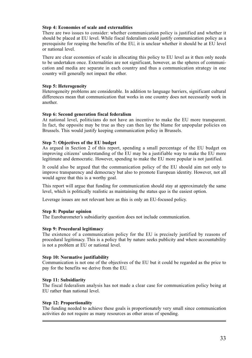#### **Step 4: Economies of scale and externalities**

There are two issues to consider: whether communication policy is justified and whether it should be placed at EU level. While fiscal federalism could justify communication policy as a prerequisite for reaping the benefits of the EU, it is unclear whether it should be at EU level or national level.

There are clear economies of scale in allocating this policy to EU level as it then only needs to be undertaken once. Externalities are not significant, however, as the spheres of communication and media are separate in each country and thus a communication strategy in one country will generally not impact the other.

#### **Step 5: Heterogeneity**

Heterogeneity problems are considerable. In addition to language barriers, significant cultural differences mean that communication that works in one country does not necessarily work in another.

#### **Step 6: Second generation fiscal federalism**

At national level, politicians do not have an incentive to make the EU more transparent. In fact, the opposite may be true as they can then lay the blame for unpopular policies on Brussels. This would justify keeping communication policy in Brussels.

#### **Step 7: Objectives of the EU budget**

As argued in Section 2 of this report, spending a small percentage of the EU budget on improving citizens' understanding of the EU may be a justifiable way to make the EU more legitimate and democratic. However, spending to make the EU more popular is not justified.

It could also be argued that the communication policy of the EU should aim not only to improve transparency and democracy but also to promote European identity. However, not all would agree that this is a worthy goal.

This report will argue that funding for communication should stay at approximately the same level, which is politically realistic as maintaining the status quo is the easiest option.

Leverage issues are not relevant here as this is only an EU-focused policy.

#### **Step 8: Popular opinion**

The Eurobarometer's subsidiarity question does not include communication.

#### **Step 9: Procedural legitimacy**

The existence of a communication policy for the EU is precisely justified by reasons of procedural legitimacy. This is a policy that by nature seeks publicity and where accountability is not a problem at EU or national level.

#### **Step 10: Normative justifiability**

Communication is not one of the objectives of the EU but it could be regarded as the price to pay for the benefits we derive from the EU.

#### **Step 11: Subsidiarity**

The fiscal federalism analysis has not made a clear case for communication policy being at EU rather than national level.

#### **Step 12: Proportionality**

The funding needed to achieve these goals is proportionately very small since communication activities do not require as many resources as other areas of spending.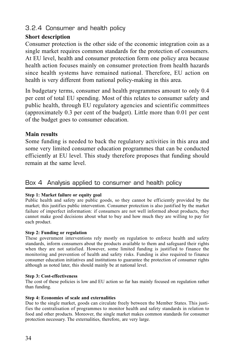## 3.2.4 Consumer and health policy

## **Short description**

Consumer protection is the other side of the economic integration coin as a single market requires common standards for the protection of consumers. At EU level, health and consumer protection form one policy area because health action focuses mainly on consumer protection from health hazards since health systems have remained national. Therefore, EU action on health is very different from national policy-making in this area.

In budgetary terms, consumer and health programmes amount to only 0.4 per cent of total EU spending. Most of this relates to consumer safety and public health, through EU regulatory agencies and scientific committees (approximately 0.3 per cent of the budget). Little more than 0.01 per cent of the budget goes to consumer education.

## **Main results**

Some funding is needed to back the regulatory activities in this area and some very limited consumer education programmes that can be conducted efficiently at EU level. This study therefore proposes that funding should remain at the same level.

## Box 4 Analysis applied to consumer and health policy

#### **Step 1: Market failure or equity goal**

Public health and safety are public goods, so they cannot be efficiently provided by the market; this justifies public intervention. Consumer protection is also justified by the market failure of imperfect information: if consumers are not well informed about products, they cannot make good decisions about what to buy and how much they are willing to pay for each product.

#### **Step 2: Funding or regulation**

These government interventions rely mostly on regulation to enforce health and safety standards, inform consumers about the products available to them and safeguard their rights when they are not satisfied. However, some limited funding is justified to finance the monitoring and prevention of health and safety risks. Funding is also required to finance consumer education initiatives and institutions to guarantee the protection of consumer rights although as noted later, this should mainly be at national level.

#### **Step 3: Cost-effectiveness**

The cost of these policies is low and EU action so far has mainly focused on regulation rather than funding.

#### **Step 4: Economies of scale and externalities**

Due to the single market, goods can circulate freely between the Member States. This justifies the centralisation of programmes to monitor health and safety standards in relation to food and other products. Moreover, the single market makes common standards for consumer protection necessary. The externalities, therefore, are very large.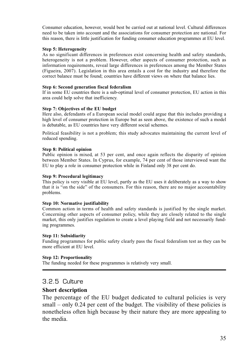Consumer education, however, would best be carried out at national level. Cultural differences need to be taken into account and the associations for consumer protection are national. For this reason, there is little justification for funding consumer education programmes at EU level.

#### **Step 5: Heterogeneity**

As no significant differences in preferences exist concerning health and safety standards, heterogeneity is not a problem. However, other aspects of consumer protection, such as information requirements, reveal large differences in preferences among the Member States (Figueira, 2007). Legislation in this area entails a cost for the industry and therefore the correct balance must be found; countries have different views on where that balance lies.

#### **Step 6: Second generation fiscal federalism**

If in some EU countries there is a sub-optimal level of consumer protection, EU action in this area could help solve that inefficiency.

#### **Step 7: Objectives of the EU budget**

Here also, defendants of a European social model could argue that this includes providing a high level of consumer protection in Europe but as seen above, the existence of such a model is debatable, as EU countries have very different social schemes.

Political feasibility is not a problem; this study advocates maintaining the current level of reduced spending.

#### **Step 8: Political opinion**

Public opinion is mixed, at 53 per cent, and once again reflects the disparity of opinion between Member States. In Cyprus, for example, 74 per cent of those interviewed want the EU to play a role in consumer protection while in Finland only 38 per cent do.

#### **Step 9: Procedural legitimacy**

This policy is very visible at EU level, partly as the EU uses it deliberately as a way to show that it is "on the side" of the consumers. For this reason, there are no major accountability problems.

#### **Step 10: Normative justifiability**

Common action in terms of health and safety standards is justified by the single market. Concerning other aspects of consumer policy, while they are closely related to the single market, this only justifies regulation to create a level playing field and not necessarily funding programmes.

#### **Step 11: Subsidiarity**

Funding programmes for public safety clearly pass the fiscal federalism test as they can be more efficient at EU level.

#### **Step 12: Proportionality**

The funding needed for these programmes is relatively very small.

## 3.2.5 Culture

#### **Short description**

The percentage of the EU budget dedicated to cultural policies is very small – only 0.24 per cent of the budget. The visibility of these policies is nonetheless often high because by their nature they are more appealing to the media.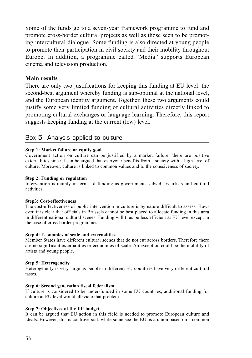Some of the funds go to a seven-year framework programme to fund and promote cross-border cultural projects as well as those seen to be promoting intercultural dialogue. Some funding is also directed at young people to promote their participation in civil society and their mobility throughout Europe. In addition, a programme called "Media" supports European cinema and television production.

# **Main results**

There are only two justifications for keeping this funding at EU level: the second-best argument whereby funding is sub-optimal at the national level, and the European identity argument. Together, these two arguments could justify some very limited funding of cultural activities directly linked to promoting cultural exchanges or language learning. Therefore, this report suggests keeping funding at the current (low) level.

# Box 5 Analysis applied to culture

### **Step 1: Market failure or equity goal**

Government action on culture can be justified by a market failure: there are positive externalities since it can be argued that everyone benefits from a society with a high level of culture. Moreover, culture is linked to common values and to the cohesiveness of society.

### **Step 2: Funding or regulation**

Intervention is mainly in terms of funding as governments subsidises artists and cultural activities.

### **Step3: Cost-effectiveness**

The cost-effectiveness of public intervention in culture is by nature difficult to assess. However, it is clear that officials in Brussels cannot be best placed to allocate funding in this area in different national cultural scenes. Funding will thus be less efficient at EU level except in the case of cross-border programmes.

### **Step 4: Economies of scale and externalities**

Member States have different cultural scenes that do not cut across borders. Therefore there are no significant externalities or economies of scale. An exception could be the mobility of artists and young people.

### **Step 5: Heterogeneity**

Heterogeneity is very large as people in different EU countries have very different cultural tastes.

### **Step 6: Second generation fiscal federalism**

If culture is considered to be under-funded in some EU countries, additional funding for culture at EU level would alleviate that problem.

### **Step 7: Objectives of the EU budget**

It can be argued that EU action in this field is needed to promote European culture and ideals. However, this is controversial: while some see the EU as a union based on a common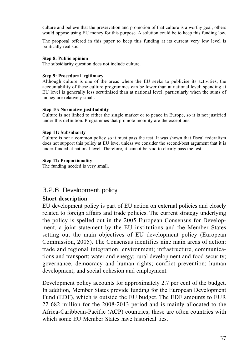culture and believe that the preservation and promotion of that culture is a worthy goal, others would oppose using EU money for this purpose. A solution could be to keep this funding low.

The proposal offered in this paper to keep this funding at its current very low level is politically realistic.

### **Step 8: Public opinion**

The subsidiarity question does not include culture.

### **Step 9: Procedural legitimacy**

Although culture is one of the areas where the EU seeks to publicise its activities, the accountability of these culture programmes can be lower than at national level; spending at EU level is generally less scrutinised than at national level, particularly when the sums of money are relatively small.

### **Step 10: Normative justifiability**

Culture is not linked to either the single market or to peace in Europe, so it is not justified under this definition. Programmes that promote mobility are the exceptions.

### **Step 11: Subsidiarity**

Culture is not a common policy so it must pass the test. It was shown that fiscal federalism does not support this policy at EU level unless we consider the second-best argument that it is under-funded at national level. Therefore, it cannot be said to clearly pass the test.

### **Step 12: Proportionality**

The funding needed is very small.

# 3.2.6 Development policy

# **Short description**

EU development policy is part of EU action on external policies and closely related to foreign affairs and trade policies. The current strategy underlying the policy is spelled out in the 2005 European Consensus for Development, a joint statement by the EU institutions and the Member States setting out the main objectives of EU development policy (European Commission, 2005). The Consensus identifies nine main areas of action: trade and regional integration; environment; infrastructure, communications and transport; water and energy; rural development and food security; governance, democracy and human rights; conflict prevention; human development; and social cohesion and employment.

Development policy accounts for approximately 2.7 per cent of the budget. In addition, Member States provide funding for the European Development Fund (EDF), which is outside the EU budget. The EDF amounts to EUR 22 682 million for the 2008-2013 period and is mainly allocated to the Africa-Caribbean-Pacific (ACP) countries; these are often countries with which some EU Member States have historical ties.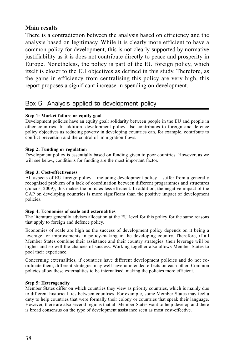# **Main results**

There is a contradiction between the analysis based on efficiency and the analysis based on legitimacy. While it is clearly more efficient to have a common policy for development, this is not clearly supported by normative justifiability as it is does not contribute directly to peace and prosperity in Europe. Nonetheless, the policy is part of the EU foreign policy, which itself is closer to the EU objectives as defined in this study. Therefore, as the gains in efficiency from centralising this policy are very high, this report proposes a significant increase in spending on development.

# Box 6 Analysis applied to development policy

# **Step 1: Market failure or equity goal**

Development policies have an equity goal: solidarity between people in the EU and people in other countries. In addition, development policy also contributes to foreign and defence policy objectives as reducing poverty in developing countries can, for example, contribute to conflict prevention and the control of immigration flows.

# **Step 2: Funding or regulation**

Development policy is essentially based on funding given to poor countries. However, as we will see below, conditions for funding are the most important factor.

## **Step 3: Cost-effectiveness**

All aspects of EU foreign policy – including development policy – suffer from a generally recognised problem of a lack of coordination between different programmes and structures (Juncos, 2009); this makes the policies less efficient. In addition, the negative impact of the CAP on developing countries is more significant than the positive impact of development policies.

# **Step 4: Economies of scale and externalities**

The literature generally advises allocation at the EU level for this policy for the same reasons that apply to foreign and defence policy.

Economies of scale are high as the success of development policy depends on it being a leverage for improvements in policy-making in the developing country. Therefore, if all Member States combine their assistance and their country strategies, their leverage will be higher and so will the chances of success. Working together also allows Member States to pool their experience.

Concerning externalities, if countries have different development policies and do not coordinate them, different strategies may well have unintended effects on each other. Common policies allow these externalities to be internalised, making the policies more efficient.

# **Step 5: Heterogeneity**

Member States differ on which countries they view as priority countries, which is mainly due to different historical ties between countries. For example, some Member States may feel a duty to help countries that were formally their colony or countries that speak their language. However, there are also several regions that all Member States want to help develop and there is broad consensus on the type of development assistance seen as most cost-effective.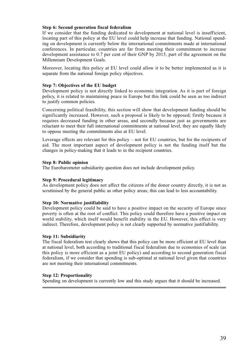### **Step 6: Second generation fiscal federalism**

If we consider that the funding dedicated to development at national level is insufficient, locating part of this policy at the EU level could help increase that funding. National spending on development is currently below the international commitments made at international conferences. In particular, countries are far from meeting their commitment to increase development assistance to 0.7 per cent of their GNP by 2015, part of the agreement on the Millennium Development Goals.

Moreover, locating this policy at EU level could allow it to be better implemented as it is separate from the national foreign policy objectives.

### **Step 7: Objectives of the EU budget**

Development policy is not directly linked to economic integration. As it is part of foreign policy, it is related to maintaining peace in Europe but this link could be seen as too indirect to justify common policies.

Concerning political feasibility, this section will show that development funding should be significantly increased. However, such a proposal is likely to be opposed; firstly because it requires decreased funding in other areas, and secondly because just as governments are reluctant to meet their full international commitments at national level, they are equally likely to oppose meeting the commitments also at EU level.

Leverage effects are relevant for this policy – not for EU countries, but for the recipients of aid. The most important aspect of development policy is not the funding itself but the changes in policy-making that it leads to in the recipient countries.

### **Step 8: Public opinion**

The Eurobarometer subsidiarity question does not include development policy.

### **Step 9: Procedural legitimacy**

As development policy does not affect the citizens of the donor country directly, it is not as scrutinised by the general public as other policy areas; this can lead to less accountability.

### **Step 10: Normative justifiability**

Development policy could be said to have a positive impact on the security of Europe since poverty is often at the root of conflict. This policy could therefore have a positive impact on world stability, which itself would benefit stability in the EU. However, this effect is very indirect. Therefore, development policy is not clearly supported by normative justifiability.

### **Step 11: Subsidiarity**

The fiscal federalism test clearly shows that this policy can be more efficient at EU level than at national level, both according to traditional fiscal federalism due to economies of scale (as this policy is more efficient as a joint EU policy) and according to second generation fiscal federalism, if we consider that spending is sub-optimal at national level given that countries are not meeting their international commitments.

### **Step 12: Proportionality**

Spending on development is currently low and this study argues that it should be increased.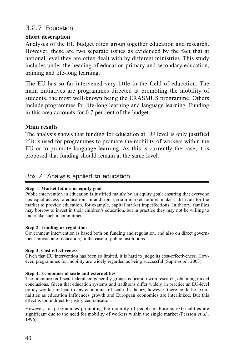# 3.2.7 Education

# **Short description**

Analyses of the EU budget often group together education and research. However, these are two separate issues as evidenced by the fact that at national level they are often dealt with by different ministries. This study includes under the heading of education primary and secondary education, training and life-long learning.

The EU has so far intervened very little in the field of education. The main initiatives are programmes directed at promoting the mobility of students, the most well-known being the ERASMUS programme. Others include programmes for life-long learning and language learning. Funding in this area accounts for 0.7 per cent of the budget.

# **Main results**

The analysis shows that funding for education at EU level is only justified if it is used for programmes to promote the mobility of workers within the EU or to promote language learning. As this is currently the case, it is proposed that funding should remain at the same level.

# Box 7 Analysis applied to education

# **Step 1: Market failure or equity goal**

Public intervention in education is justified mainly by an equity goal: ensuring that everyone has equal access to education. In addition, certain market failures make it difficult for the market to provide education, for example, capital market imperfections. In theory, families may borrow to invest in their children's education, but in practice they may not be willing to undertake such a commitment.

# **Step 2: Funding or regulation**

Government intervention is based both on funding and regulation, and also on direct government provision of education, in the case of public institutions.

# **Step 3: Cost-effectiveness**

Given that EU intervention has been so limited, it is hard to judge its cost-effectiveness. However, programmes for mobility are widely regarded as being successful (Sapir *et al*., 2003).

# **Step 4: Economies of scale and externalities**

The literature on fiscal federalism generally groups education with research, obtaining mixed conclusions. Given that education systems and traditions differ widely, in practice an EU-level policy would not lead to any economies of scale. In theory, however, there could be externalities as education influences growth and European economies are interlinked. But this effect is too indirect to justify centralisation.

However, for programmes promoting the mobility of people in Europe, externalities are significant due to the need for mobility of workers within the single market (Persson *et al.,* 1996).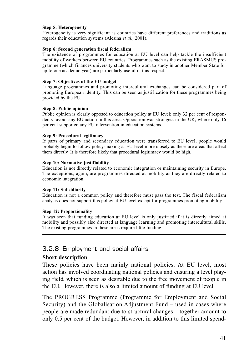### **Step 5: Heterogeneity**

Heterogeneity is very significant as countries have different preferences and traditions as regards their education systems (Alesina *et al*., 2001).

### **Step 6: Second generation fiscal federalism**

The existence of programmes for education at EU level can help tackle the insufficient mobility of workers between EU countries. Programmes such as the existing ERASMUS programme (which finances university students who want to study in another Member State for up to one academic year) are particularly useful in this respect.

### **Step 7: Objectives of the EU budget**

Language programmes and promoting intercultural exchanges can be considered part of promoting European identity. This can be seen as justification for these programmes being provided by the EU.

### **Step 8: Public opinion**

Public opinion is clearly opposed to education policy at EU level; only 32 per cent of respondents favour any EU action in this area. Opposition was strongest in the UK, where only 16 per cent supported any EU intervention in education systems.

### **Step 9: Procedural legitimacy**

If parts of primary and secondary education were transferred to EU level, people would probably begin to follow policy-making at EU level more closely as these are areas that affect them directly. It is therefore likely that procedural legitimacy would be high.

## **Step 10: Normative justifiability**

Education is not directly related to economic integration or maintaining security in Europe. The exceptions, again, are programmes directed at mobility as they are directly related to economic integration.

### **Step 11: Subsidiarity**

Education is not a common policy and therefore must pass the test. The fiscal federalism analysis does not support this policy at EU level except for programmes promoting mobility.

### **Step 12: Proportionality**

It was seen that funding education at EU level is only justified if it is directly aimed at mobility and possibly also directed at language learning and promoting intercultural skills. The existing programmes in these areas require little funding.

# 3.2.8 Employment and social affairs

# **Short description**

These policies have been mainly national policies. At EU level, most action has involved coordinating national policies and ensuring a level playing field, which is seen as desirable due to the free movement of people in the EU. However, there is also a limited amount of funding at EU level.

The PROGRESS Programme (Programme for Employment and Social Security) and the Globalisation Adjustment Fund – used in cases where people are made redundant due to structural changes – together amount to only 0.5 per cent of the budget. However, in addition to this limited spend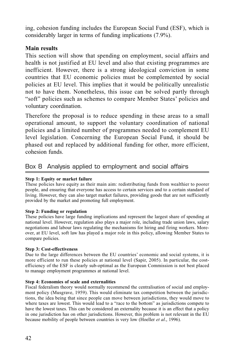ing, cohesion funding includes the European Social Fund (ESF), which is considerably larger in terms of funding implications (7.9%).

# **Main results**

This section will show that spending on employment, social affairs and health is not justified at EU level and also that existing programmes are inefficient. However, there is a strong ideological conviction in some countries that EU economic policies must be complemented by social policies at EU level. This implies that it would be politically unrealistic not to have them. Nonetheless, this issue can be solved partly through "soft" policies such as schemes to compare Member States' policies and voluntary coordination.

Therefore the proposal is to reduce spending in these areas to a small operational amount, to support the voluntary coordination of national policies and a limited number of programmes needed to complement EU level legislation. Concerning the European Social Fund, it should be phased out and replaced by additional funding for other, more efficient, cohesion funds.

# Box 8 Analysis applied to employment and social affairs

# **Step 1: Equity or market failure**

These policies have equity as their main aim: redistributing funds from wealthier to poorer people, and ensuring that everyone has access to certain services and to a certain standard of living. However, they can also target market failures, providing goods that are not sufficiently provided by the market and promoting full employment.

# **Step 2: Funding or regulation**

These policies have large funding implications and represent the largest share of spending at national level. However, regulation also plays a major role, including trade union laws, salary negotiations and labour laws regulating the mechanisms for hiring and firing workers. Moreover, at EU level, soft law has played a major role in this policy, allowing Member States to compare policies.

# **Step 3: Cost-effectiveness**

Due to the large differences between the EU countries' economic and social systems, it is more efficient to run these policies at national level (Sapir, 2005). In particular, the costefficiency of the ESF is clearly sub-optimal as the European Commission is not best placed to manage employment programmes at national level.

# **Step 4: Economies of scale and externalities**

Fiscal federalism theory would normally recommend the centralisation of social and employment policy (Musgrave, 1959). This would eliminate tax competition between the jurisdictions, the idea being that since people can move between jurisdictions, they would move to where taxes are lowest. This would lead to a "race to the bottom" as jurisdictions compete to have the lowest taxes. This can be considered an externality because it is an effect that a policy in one jurisdiction has on other jurisdictions. However, this problem is not relevant in the EU because mobility of people between countries is very low (Hoeller *et al*., 1996).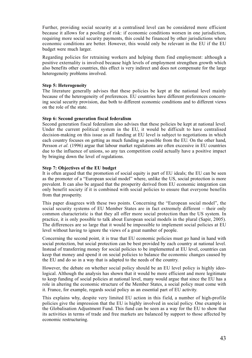Further, providing social security at a centralised level can be considered more efficient because it allows for a pooling of risk: if economic conditions worsen in one jurisdiction, requiring more social security payments, this could be financed by other jurisdictions where economic conditions are better. However, this would only be relevant in the EU if the EU budget were much larger.

Regarding policies for retraining workers and helping them find employment: although a positive externality is involved because high levels of employment strengthen growth which also benefits other countries, this effect is very indirect and does not compensate for the large heterogeneity problems involved.

### **Step 5: Heterogeneity**

The literature generally advises that these policies be kept at the national level mainly because of the heterogeneity of preferences. EU countries have different preferences concerning social security provision, due both to different economic conditions and to different views on the role of the state.

### **Step 6: Second generation fiscal federalism**

Second generation fiscal federalism also advises that these policies be kept at national level. Under the current political system in the EU, it would be difficult to have centralised decision-making on this issue as all funding at EU level is subject to negotiations in which each country focuses on getting as much funding as possible from the EU. On the other hand, Persson *et al*. (1996) argue that labour market regulations are often excessive in EU countries due to the influence of unions, so any tax competition could actually have a positive impact by bringing down the level of regulations.

### **Step 7: Objectives of the EU budget**

It is often argued that the promotion of social equity is part of EU ideals; the EU can be seen as the promoter of a "European social model" where, unlike the US, social protection is more prevalent. It can also be argued that the prosperity derived from EU economic integration can only benefit society if it is combined with social policies to ensure that everyone benefits from that prosperity.

This paper disagrees with these two points. Concerning the "European social model", the social security systems of EU Member States are in fact extremely different – their only common characteristic is that they all offer more social protection than the US system. In practice, it is only possible to talk about European social models in the plural (Sapir, 2005). The differences are so large that it would be impossible to implement social policies at EU level without having to ignore the views of a great number of people.

Concerning the second point, it is true that EU economic policies must go hand in hand with social protection, but social protection can be best provided by each country at national level. Instead of transferring money for social policies to be implemented at EU level, countries can keep that money and spend it on social policies to balance the economic changes caused by the EU and do so in a way that is adapted to the needs of the country.

However, the debate on whether social policy should be an EU level policy is highly ideological. Although the analysis has shown that it would be more efficient and more legitimate to keep funding of social policies at national level, many would argue that since the EU has a role in altering the economic structure of the Member States, a social policy must come with it. France, for example, regards social policy as an essential part of EU activity.

This explains why, despite very limited EU action in this field, a number of high-profile policies give the impression that the EU is highly involved in social policy. One example is the Globalisation Adjustment Fund. This fund can be seen as a way for the EU to show that its activities in terms of trade and free markets are balanced by support to those affected by economic restructuring.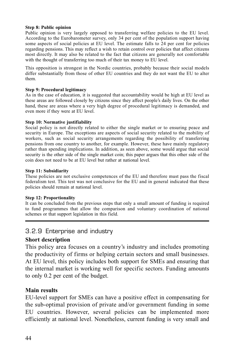### **Step 8: Public opinion**

Public opinion is very largely opposed to transferring welfare policies to the EU level. According to the Eurobarometer survey, only 34 per cent of the population support having some aspects of social policies at EU level. The estimate falls to 24 per cent for policies regarding pensions. This may reflect a wish to retain control over policies that affect citizens most directly. It may also be related to the fact that citizens are generally not comfortable with the thought of transferring too much of their tax money to EU level.

This opposition is strongest in the Nordic countries, probably because their social models differ substantially from those of other EU countries and they do not want the EU to alter them.

### **Step 9: Procedural legitimacy**

As in the case of education, it is suggested that accountability would be high at EU level as these areas are followed closely by citizens since they affect people's daily lives. On the other hand, these are areas where a very high degree of procedural legitimacy is demanded, and even more if they were at EU level.

### **Step 10: Normative justifiability**

Social policy is not directly related to either the single market or to ensuring peace and security in Europe. The exceptions are aspects of social security related to the mobility of workers, such as social security arrangements regarding the possibility of transferring pensions from one country to another, for example. However, these have mainly regulatory rather than spending implications. In addition, as seen above, some would argue that social security is the other side of the single market coin; this paper argues that this other side of the coin does not need to be at EU level but rather at national level.

### **Step 11: Subsidiarity**

These policies are not exclusive competences of the EU and therefore must pass the fiscal federalism test. This test was not conclusive for the EU and in general indicated that these policies should remain at national level.

### **Step 12: Proportionality**

It can be concluded from the previous steps that only a small amount of funding is required to fund programmes that allow the comparison and voluntary coordination of national schemes or that support legislation in this field.

# 3.2.9 Enterprise and industry

# **Short description**

This policy area focuses on a country's industry and includes promoting the productivity of firms or helping certain sectors and small businesses. At EU level, this policy includes both support for SMEs and ensuring that the internal market is working well for specific sectors. Funding amounts to only 0.2 per cent of the budget.

# **Main results**

EU-level support for SMEs can have a positive effect in compensating for the sub-optimal provision of private and/or government funding in some EU countries. However, several policies can be implemented more efficiently at national level. Nonetheless, current funding is very small and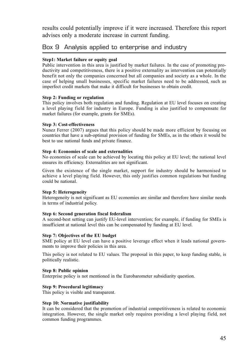results could potentially improve if it were increased. Therefore this report advises only a moderate increase in current funding.

# Box 9 Analysis applied to enterprise and industry

## **Step1: Market failure or equity goal**

Public intervention in this area is justified by market failures. In the case of promoting productivity and competitiveness, there is a positive externality as intervention can potentially benefit not only the companies concerned but all companies and society as a whole. In the case of helping small businesses, specific market failures need to be addressed, such as imperfect credit markets that make it difficult for businesses to obtain credit.

### **Step 2: Funding or regulation**

This policy involves both regulation and funding. Regulation at EU level focuses on creating a level playing field for industry in Europe. Funding is also justified to compensate for market failures (for example, grants for SMEs).

### **Step 3: Cost-effectiveness**

Nunez Ferrer (2007) argues that this policy should be made more efficient by focusing on countries that have a sub-optimal provision of funding for SMEs, as in the others it would be best to use national funds and private finance.

### **Step 4: Economies of scale and externalities**

No economies of scale can be achieved by locating this policy at EU level; the national level ensures its efficiency. Externalities are not significant.

Given the existence of the single market, support for industry should be harmonised to achieve a level playing field. However, this only justifies common regulations but funding could be national.

### **Step 5: Heterogeneity**

Heterogeneity is not significant as EU economies are similar and therefore have similar needs in terms of industrial policy.

### **Step 6: Second generation fiscal federalism**

A second-best setting can justify EU-level intervention; for example, if funding for SMEs is insufficient at national level this can be compensated by funding at EU level.

### **Step 7: Objectives of the EU budget**

SME policy at EU level can have a positive leverage effect when it leads national governments to improve their policies in this area.

This policy is not related to EU values. The proposal in this paper, to keep funding stable, is politically realistic.

### **Step 8: Public opinion**

Enterprise policy is not mentioned in the Eurobarometer subsidiarity question.

### **Step 9: Procedural legitimacy**

This policy is visible and transparent.

### **Step 10: Normative justifiability**

It can be considered that the promotion of industrial competitiveness is related to economic integration. However, the single market only requires providing a level playing field, not common funding programmes.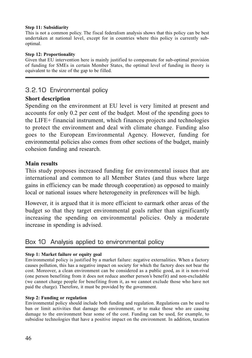### **Step 11: Subsidiarity**

This is not a common policy. The fiscal federalism analysis shows that this policy can be best undertaken at national level, except for in countries where this policy is currently suboptimal.

### **Step 12: Proportionality**

Given that EU intervention here is mainly justified to compensate for sub-optimal provision of funding for SMEs in certain Member States, the optimal level of funding in theory is equivalent to the size of the gap to be filled.

# 3.2.10 Environmental policy

# **Short description**

Spending on the environment at EU level is very limited at present and accounts for only 0.2 per cent of the budget. Most of the spending goes to the LIFE+ financial instrument, which finances projects and technologies to protect the environment and deal with climate change. Funding also goes to the European Environmental Agency. However, funding for environmental policies also comes from other sections of the budget, mainly cohesion funding and research.

# **Main results**

This study proposes increased funding for environmental issues that are international and common to all Member States (and thus where large gains in efficiency can be made through cooperation) as opposed to mainly local or national issues where heterogeneity in preferences will be high.

However, it is argued that it is more efficient to earmark other areas of the budget so that they target environmental goals rather than significantly increasing the spending on environmental policies. Only a moderate increase in spending is advised.

# Box 10 Analysis applied to environmental policy

# **Step 1: Market failure or equity goal**

Environmental policy is justified by a market failure: negative externalities. When a factory causes pollution, this has a negative impact on society for which the factory does not bear the cost. Moreover, a clean environment can be considered as a public good, as it is non-rival (one person benefiting from it does not reduce another person's benefit) and non-excludable (we cannot charge people for benefiting from it, as we cannot exclude those who have not paid the charge). Therefore, it must be provided by the government.

### **Step 2: Funding or regulation**

Environmental policy should include both funding and regulation. Regulations can be used to ban or limit activities that damage the environment, or to make those who are causing damage to the environment bear some of the cost. Funding can be used, for example, to subsidise technologies that have a positive impact on the environment. In addition, taxation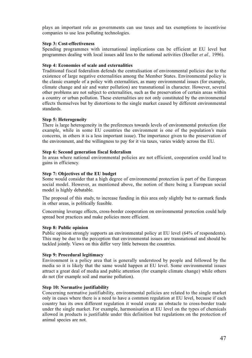plays an important role as governments can use taxes and tax exemptions to incentivise companies to use less polluting technologies.

### **Step 3: Cost-effectiveness**

Spending programmes with international implications can be efficient at EU level but programmes dealing with local issues add less to the national activities (Hoeller *et al.,* 1996).

## **Step 4: Economies of scale and externalities**

Traditional fiscal federalism defends the centralisation of environmental policies due to the existence of large negative externalities among the Member States. Environmental policy is the classic example of a policy with externalities, as many environmental issues (for example, climate change and air and water pollution) are transnational in character. However, several other problems are not subject to externalities, such as the preservation of certain areas within a country or urban pollution. These externalities are not only constituted by the environmental effects themselves but by distortions to the single market caused by different environmental standards.

### **Step 5: Heterogeneity**

There is large heterogeneity in the preferences towards levels of environmental protection (for example, while in some EU countries the environment is one of the population's main concerns, in others it is a less important issue). The importance given to the preservation of the environment, and the willingness to pay for it via taxes, varies widely across the EU.

### **Step 6: Second generation fiscal federalism**

In areas where national environmental policies are not efficient, cooperation could lead to gains in efficiency.

### **Step 7: Objectives of the EU budget**

Some would consider that a high degree of environmental protection is part of the European social model. However, as mentioned above, the notion of there being a European social model is highly debatable.

The proposal of this study, to increase funding in this area only slightly but to earmark funds in other areas, is politically feasible.

Concerning leverage effects, cross-border cooperation on environmental protection could help spread best practices and make policies more efficient.

### **Step 8: Public opinion**

Public opinion strongly supports an environmental policy at EU level (64% of respondents). This may be due to the perception that environmental issues are transnational and should be tackled jointly. Views on this differ very little between the countries.

### **Step 9: Procedural legitimacy**

Environment is a policy area that is generally understood by people and followed by the media so it is likely that the same would happen at EU level. Some environmental issues attract a great deal of media and public attention (for example climate change) while others do not (for example soil and marine pollution).

### **Step 10: Normative justifiability**

Concerning normative justifiability, environmental policies are related to the single market only in cases where there is a need to have a common regulation at EU level, because if each country has its own different regulation it would create an obstacle to cross-border trade under the single market. For example, harmonisation at EU level on the types of chemicals allowed in products is justifiable under this definition but regulations on the protection of animal species are not.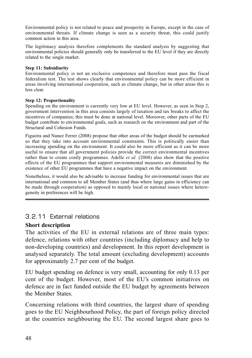Environmental policy is not related to peace and prosperity in Europe, except in the case of environmental threats. If climate change is seen as a security threat, this could justify common action in this area.

The legitimacy analysis therefore complements the standard analysis by suggesting that environmental policies should generally only be transferred to the EU level if they are directly related to the single market.

# **Step 11: Subsidiarity**

Environmental policy is not an exclusive competence and therefore must pass the fiscal federalism test. The test shows clearly that environmental policy can be more efficient in areas involving international cooperation, such as climate change, but in other areas this is less clear.

## **Step 12: Proportionality**

Spending on the environment is currently very low at EU level. However, as seen in Step 2, government intervention in this area consists largely of taxation and tax breaks to affect the incentives of companies; this must be done at national level. Moreover, other parts of the EU budget contribute to environmental goals, such as research on the environment and part of the Structural and Cohesion Funds.

Figueira and Nunez Ferrer (2008) propose that other areas of the budget should be earmarked so that they take into account environmental constraints. This is politically easier than increasing spending on the environment. It could also be more efficient as it can be more useful to ensure that all government policies provide the correct environmental incentives rather than to create costly programmes. Adelle *et al.* (2008) also show that the positive effects of the EU programmes that support environmental measures are diminished by the existence of other EU programmes that have a negative impact on the environment.

Nonetheless, it would also be advisable to increase funding for environmental issues that are international and common to all Member States (and thus where large gains in efficiency can be made through cooperation) as opposed to mainly local or national issues where heterogeneity in preferences will be high.

# 3.2.11 External relations

# **Short description**

The activities of the EU in external relations are of three main types: defence, relations with other countries (including diplomacy and help to non-developing countries) and development. In this report development is analysed separately. The total amount (excluding development) accounts for approximately 2.7 per cent of the budget.

EU budget spending on defence is very small, accounting for only 0.13 per cent of the budget. However, most of the EU's common initiatives on defence are in fact funded outside the EU budget by agreements between the Member States.

Concerning relations with third countries, the largest share of spending goes to the EU Neighbourhood Policy, the part of foreign policy directed at the countries neighbouring the EU. The second largest share goes to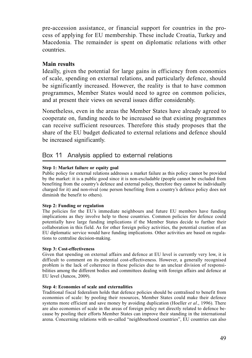pre-accession assistance, or financial support for countries in the process of applying for EU membership. These include Croatia, Turkey and Macedonia. The remainder is spent on diplomatic relations with other countries.

# **Main results**

Ideally, given the potential for large gains in efficiency from economies of scale, spending on external relations, and particularly defence, should be significantly increased. However, the reality is that to have common programmes, Member States would need to agree on common policies, and at present their views on several issues differ considerably.

Nonetheless, even in the areas the Member States have already agreed to cooperate on, funding needs to be increased so that existing programmes can receive sufficient resources. Therefore this study proposes that the share of the EU budget dedicated to external relations and defence should be increased significantly.

# Box 11 Analysis applied to external relations

# **Step 1: Market failure or equity goal**

Public policy for external relations addresses a market failure as this policy cannot be provided by the market: it is a public good since it is non-excludable (people cannot be excluded from benefiting from the country's defence and external policy, therefore they cannot be individually charged for it) and non-rival (one person benefiting from a country's defence policy does not diminish the benefit to others).

# **Step 2: Funding or regulation**

The policies for the EU's immediate neighbours and future EU members have funding implications as they involve help to those countries. Common policies for defence could potentially have large funding implications if the Member States decide to further their collaboration in this field. As for other foreign policy activities, the potential creation of an EU diplomatic service would have funding implications. Other activities are based on regulations to centralise decision-making.

# **Step 3: Cost-effectiveness**

Given that spending on external affairs and defence at EU level is currently very low, it is difficult to comment on its potential cost-effectiveness. However, a generally recognised problem is the lack of coherence in these policies due to an unclear division of responsibilities among the different bodies and committees dealing with foreign affairs and defence at EU level (Juncos, 2009).

## **Step 4: Economies of scale and externalities**

Traditional fiscal federalism holds that defence policies should be centralised to benefit from economies of scale: by pooling their resources, Member States could make their defence systems more efficient and save money by avoiding duplication (Hoeller *et al*., 1996). There are also economies of scale in the areas of foreign policy not directly related to defence because by pooling their efforts Member States can improve their standing in the international arena. Concerning relations with so-called "neighbourhood countries", EU countries can also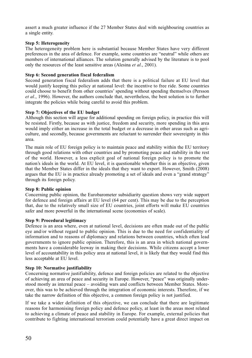assert a much greater influence if the 27 Member States deal with neighbouring countries as a single entity.

### **Step 5: Heterogeneity**

The heterogeneity problem here is substantial because Member States have very different preferences in the area of defence. For example, some countries are "neutral" while others are members of international alliances. The solution generally advised by the literature is to pool only the resources of the least sensitive areas (Alesina *et al*., 2001).

### **Step 6: Second generation fiscal federalism**

Second generation fiscal federalism adds that there is a political failure at EU level that would justify keeping this policy at national level: the incentive to free ride. Some countries could choose to benefit from other countries' spending without spending themselves (Persson *et al*., 1996). However, the authors conclude that, nevertheless, the best solution is to further integrate the policies while being careful to avoid this problem.

### **Step 7: Objectives of the EU budget**

Although this section will argue for additional spending on foreign policy, in practice this will be resisted. Firstly, because as with justice, freedom and security, more spending in this area would imply either an increase in the total budget or a decrease in other areas such as agriculture, and secondly, because governments are reluctant to surrender their sovereignty in this area.

The main role of EU foreign policy is to maintain peace and stability within the EU territory through good relations with other countries and by promoting peace and stability in the rest of the world. However, a less explicit goal of national foreign policy is to promote the nation's ideals in the world. At EU level, it is questionable whether this is an objective, given that the Member States differ in the ideals that they want to export. However, Smith (2008) argues that the EU is in practice already promoting a set of ideals and even a "grand strategy" through its foreign policy.

### **Step 8: Public opinion**

Concerning public opinion, the Eurobarometer subsidiarity question shows very wide support for defence and foreign affairs at EU level (64 per cent). This may be due to the perception that, due to the relatively small size of EU countries, joint efforts will make EU countries safer and more powerful in the international scene (economies of scale).

### **Step 9: Procedural legitimacy**

Defence is an area where, even at national level, decisions are often made out of the public eye and/or without regard to public opinion. This is due to the need for confidentiality of information and to reasons of diplomacy and relations between countries, which often lead governments to ignore public opinion. Therefore, this is an area in which national governments have a considerable leeway in making their decisions. While citizens accept a lower level of accountability in this policy area at national level, it is likely that they would find this less acceptable at EU level.

### **Step 10: Normative justifiability**

Concerning normative justifiability, defence and foreign policies are related to the objective of achieving an area of peace and security in Europe. However, "peace" was originally understood mostly as internal peace – avoiding wars and conflicts between Member States. Moreover, this was to be achieved through the integration of economic interests. Therefore, if we take the narrow definition of this objective, a common foreign policy is not justified.

If we take a wider definition of this objective, we can conclude that there are legitimate reasons for harmonising foreign policy and defence policy, at least in the areas most related to achieving a climate of peace and stability in Europe. For example, external policies that contribute to fighting international terrorism could potentially have a great direct impact on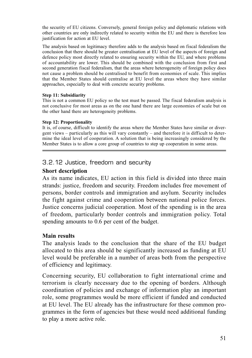the security of EU citizens. Conversely, general foreign policy and diplomatic relations with other countries are only indirectly related to security within the EU and there is therefore less justification for action at EU level.

The analysis based on legitimacy therefore adds to the analysis based on fiscal federalism the conclusion that there should be greater centralisation at EU level of the aspects of foreign and defence policy most directly related to ensuring security within the EU, and where problems of accountability are lower. This should be combined with the conclusion from first and second generation fiscal federalism, that the areas where heterogeneity of foreign policy does not cause a problem should be centralised to benefit from economies of scale. This implies that the Member States should centralise at EU level the areas where they have similar approaches, especially to deal with concrete security problems.

## **Step 11: Subsidiarity**

This is not a common EU policy so the test must be passed. The fiscal federalism analysis is not conclusive for most areas as on the one hand there are large economies of scale but on the other hand there are heterogeneity problems.

## **Step 12: Proportionality**

It is, of course, difficult to identify the areas where the Member States have similar or divergent views – particularly as this will vary constantly – and therefore it is difficult to determine the ideal level of cooperation. A solution that is being increasingly considered by the Member States is to allow a core group of countries to step up cooperation in some areas.

# 3.2.12 Justice, freedom and security

# **Short description**

As its name indicates, EU action in this field is divided into three main strands: justice, freedom and security. Freedom includes free movement of persons, border controls and immigration and asylum. Security includes the fight against crime and cooperation between national police forces. Justice concerns judicial cooperation. Most of the spending is in the area of freedom, particularly border controls and immigration policy. Total spending amounts to 0.6 per cent of the budget.

# **Main results**

The analysis leads to the conclusion that the share of the EU budget allocated to this area should be significantly increased as funding at EU level would be preferable in a number of areas both from the perspective of efficiency and legitimacy.

Concerning security, EU collaboration to fight international crime and terrorism is clearly necessary due to the opening of borders. Although coordination of policies and exchange of information play an important role, some programmes would be more efficient if funded and conducted at EU level. The EU already has the infrastructure for these common programmes in the form of agencies but these would need additional funding to play a more active role.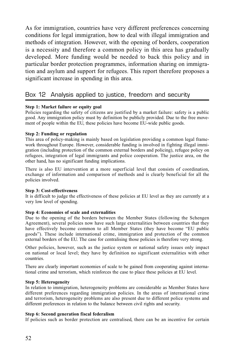As for immigration, countries have very different preferences concerning conditions for legal immigration, how to deal with illegal immigration and methods of integration. However, with the opening of borders, cooperation is a necessity and therefore a common policy in this area has gradually developed. More funding would be needed to back this policy and in particular border protection programmes, information sharing on immigration and asylum and support for refugees. This report therefore proposes a significant increase in spending in this area.

# Box 12 Analysis applied to justice, freedom and security

## **Step 1: Market failure or equity goal**

Policies regarding the safety of citizens are justified by a market failure: safety is a public good. Any immigration policy must by definition be publicly provided. Due to the free movement of people within the EU, these policies have become EU-wide public goods.

### **Step 2: Funding or regulation**

This area of policy-making is mainly based on legislation providing a common legal framework throughout Europe. However, considerable funding is involved in fighting illegal immigration (including protection of the common external borders and policing), refugee policy on refugees, integration of legal immigrants and police cooperation. The justice area, on the other hand, has no significant funding implications.

There is also EU intervention at a more superficial level that consists of coordination, exchange of information and comparison of methods and is clearly beneficial for all the policies involved.

### **Step 3: Cost-effectiveness**

It is difficult to judge the effectiveness of these policies at EU level as they are currently at a very low level of spending.

### **Step 4: Economies of scale and externalities**

Due to the opening of the borders between the Member States (following the Schengen Agreement), several policies now have such large externalities between countries that they have effectively become common to all Member States (they have become "EU public goods"). These include international crime, immigration and protection of the common external borders of the EU. The case for centralising those policies is therefore very strong.

Other policies, however, such as the justice system or national safety issues only impact on national or local level; they have by definition no significant externalities with other countries.

There are clearly important economies of scale to be gained from cooperating against international crime and terrorism, which reinforces the case to place these policies at EU level.

### **Step 5: Heterogeneity**

In relation to immigration, heterogeneity problems are considerable as Member States have different preferences regarding immigration policies. In the areas of international crime and terrorism, heterogeneity problems are also present due to different police systems and different preferences in relation to the balance between civil rights and security.

### **Step 6: Second generation fiscal federalism**

If policies such as border protection are centralised, there can be an incentive for certain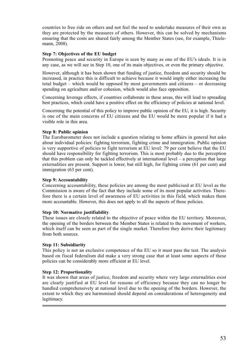countries to free ride on others and not feel the need to undertake measures of their own as they are protected by the measures of others. However, this can be solved by mechanisms ensuring that the costs are shared fairly among the Member States (see, for example, Thielemann, 2008).

### **Step 7: Objectives of the EU budget**

Promoting peace and security in Europe is seen by many as one of the EU's ideals. It is in any case, as we will see in Step 10, one of its main objectives, or even the primary objective.

However, although it has been shown that funding of justice, freedom and security should be increased, in practice this is difficult to achieve because it would imply either increasing the total budget – which would be opposed by most governments and citizens – or decreasing spending on agriculture and/or cohesion, which would also face opposition.

Concerning leverage effects, if countries collaborate in these areas, this will lead to spreading best practices, which could have a positive effect on the efficiency of policies at national level.

Concerning the potential of this policy to improve public opinion of the EU, it is high. Security is one of the main concerns of EU citizens and the EU would be more popular if it had a visible role in this area.

## **Step 8: Public opinion**

The Eurobarometer does not include a question relating to home affairs in general but asks about individual policies: fighting terrorism, fighting crime and immigration. Public opinion is very supportive of policies to fight terrorism at EU level: 79 per cent believe that the EU should have responsibility for fighting terrorism. This is most probably due to the perception that this problem can only be tackled effectively at international level – a perception that large externalities are present. Support is lower, but still high, for fighting crime (61 per cent) and immigration (63 per cent).

### **Step 9: Accountability**

Concerning accountability, these policies are among the most publicised at EU level as the Commission is aware of the fact that they include some of its most popular activities. Therefore there is a certain level of awareness of EU activities in this field, which makes them more accountable. However, this does not apply to all the aspects of these policies.

### **Step 10: Normative justifiability**

These issues are closely related to the objective of peace within the EU territory. Moreover, the opening of the borders between the Member States is related to the movement of workers, which itself can be seen as part of the single market. Therefore they derive their legitimacy from both sources.

### **Step 11: Subsidiarity**

This policy is not an exclusive competence of the EU so it must pass the test. The analysis based on fiscal federalism did make a very strong case that at least some aspects of these policies can be considerably more efficient at EU level.

### **Step 12: Proportionality**

It was shown that areas of justice, freedom and security where very large externalities exist are clearly justified at EU level for reasons of efficiency because they can no longer be handled comprehensively at national level due to the opening of the borders. However, the extent to which they are harmonised should depend on considerations of heterogeneity and legitimacy.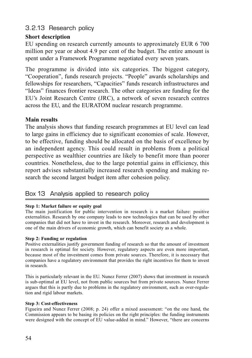# 3.2.13 Research policy

# **Short description**

EU spending on research currently amounts to approximately EUR 6 700 million per year or about 4.9 per cent of the budget. The entire amount is spent under a Framework Programme negotiated every seven years.

The programme is divided into six categories. The biggest category, "Cooperation", funds research projects. "People" awards scholarships and fellowships for researchers, "Capacities" funds research infrastructures and "Ideas" finances frontier research. The other categories are funding for the EU's Joint Research Centre (JRC), a network of seven research centres across the EU, and the EURATOM nuclear research programme.

# **Main results**

The analysis shows that funding research programmes at EU level can lead to large gains in efficiency due to significant economies of scale. However, to be effective, funding should be allocated on the basis of excellence by an independent agency. This could result in problems from a political perspective as wealthier countries are likely to benefit more than poorer countries. Nonetheless, due to the large potential gains in efficiency, this report advises substantially increased research spending and making research the second largest budget item after cohesion policy.

# Box 13 Analysis applied to research policy

# **Step 1: Market failure or equity goal**

The main justification for public intervention in research is a market failure: positive externalities. Research by one company leads to new technologies that can be used by other companies that did not have to invest in the research. Moreover, research and development is one of the main drivers of economic growth, which can benefit society as a whole.

# **Step 2: Funding or regulation**

Positive externalities justify government funding of research so that the amount of investment in research is optimal for society. However, regulatory aspects are even more important, because most of the investment comes from private sources. Therefore, it is necessary that companies have a regulatory environment that provides the right incentives for them to invest in research.

This is particularly relevant in the EU. Nunez Ferrer (2007) shows that investment in research is sub-optimal at EU level, not from public sources but from private sources. Nunez Ferrer argues that this is partly due to problems in the regulatory environment, such as over-regulation and rigid labour markets.

# **Step 3: Cost-effectiveness**

Figueira and Nunez Ferrer (2008; p. 24) offer a mixed assessment: "on the one hand, the Commission appears to be basing its policies on the right principles: the funding instruments were designed with the concept of EU value-added in mind." However, "there are concerns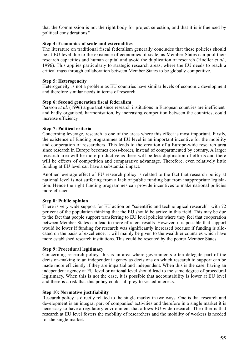that the Commission is not the right body for project selection, and that it is influenced by political considerations."

## **Step 4: Economies of scale and externalities**

The literature on traditional fiscal federalism generally concludes that these policies should be at EU level due to the existence of economies of scale, as Member States can pool their research capacities and human capital and avoid the duplication of research (Hoeller *et al.*, 1996). This applies particularly to strategic research areas, where the EU needs to reach a critical mass through collaboration between Member States to be globally competitive.

### **Step 5: Heterogeneity**

Heterogeneity is not a problem as EU countries have similar levels of economic development and therefore similar needs in terms of research.

### **Step 6: Second generation fiscal federalism**

Persson *et al*. (1996) argue that since research institutions in European countries are inefficient and badly organised, harmonisation, by increasing competition between the countries, could increase efficiency.

### **Step 7: Political criteria**

Concerning leverage, research is one of the areas where this effect is most important. Firstly, the existence of funding programmes at EU level is an important incentive for the mobility and cooperation of researchers. This leads to the creation of a Europe-wide research area since research in Europe becomes cross-border, instead of compartmented by country. A larger research area will be more productive as there will be less duplication of efforts and there will be effects of competition and comparative advantage. Therefore, even relatively little funding at EU level can have a substantial impact.

Another leverage effect of EU research policy is related to the fact that research policy at national level is not suffering from a lack of public funding but from inappropriate legislation. Hence the right funding programmes can provide incentives to make national policies more efficient.

### **Step 8: Public opinion**

There is very wide support for EU action on "scientific and technological research", with 72 per cent of the population thinking that the EU should be active in this field. This may be due to the fact that people support transferring to EU level policies where they feel that cooperation between Member States can lead to more efficient results. However, it is possible that support would be lower if funding for research was significantly increased because if funding is allocated on the basis of excellence, it will mainly be given to the wealthier countries which have more established research institutions. This could be resented by the poorer Member States.

### **Step 9: Procedural legitimacy**

Concerning research policy, this is an area where governments often delegate part of the decision-making to an independent agency as decisions on which research to support can be made more efficiently if they are impartial and independent. When this is the case, having an independent agency at EU level or national level should lead to the same degree of procedural legitimacy. When this is not the case, it is possible that accountability is lower at EU level and there is a risk that this policy could fall prey to vested interests.

### **Step 10: Normative justifiability**

Research policy is directly related to the single market in two ways. One is that research and development is an integral part of companies' activities and therefore in a single market it is necessary to have a regulatory environment that allows EU-wide research. The other is that research at EU level fosters the mobility of researchers and the mobility of workers is needed for the single market.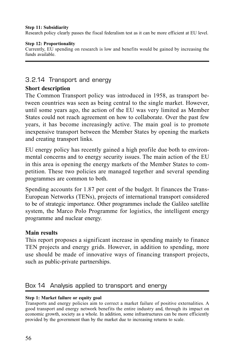## **Step 11: Subsidiarity**

Research policy clearly passes the fiscal federalism test as it can be more efficient at EU level.

## **Step 12: Proportionality**

Currently, EU spending on research is low and benefits would be gained by increasing the funds available.

# 3.2.14 Transport and energy

# **Short description**

The Common Transport policy was introduced in 1958, as transport between countries was seen as being central to the single market. However, until some years ago, the action of the EU was very limited as Member States could not reach agreement on how to collaborate. Over the past few years, it has become increasingly active. The main goal is to promote inexpensive transport between the Member States by opening the markets and creating transport links.

EU energy policy has recently gained a high profile due both to environmental concerns and to energy security issues. The main action of the EU in this area is opening the energy markets of the Member States to competition. These two policies are managed together and several spending programmes are common to both.

Spending accounts for 1.87 per cent of the budget. It finances the Trans-European Networks (TENs), projects of international transport considered to be of strategic importance. Other programmes include the Galileo satellite system, the Marco Polo Programme for logistics, the intelligent energy programme and nuclear energy.

# **Main results**

This report proposes a significant increase in spending mainly to finance TEN projects and energy grids. However, in addition to spending, more use should be made of innovative ways of financing transport projects, such as public-private partnerships.

# Box 14 Analysis applied to transport and energy

# **Step 1: Market failure or equity goal**

Transports and energy policies aim to correct a market failure of positive externalities. A good transport and energy network benefits the entire industry and, through its impact on economic growth, society as a whole. In addition, some infrastructures can be more efficiently provided by the government than by the market due to increasing returns to scale.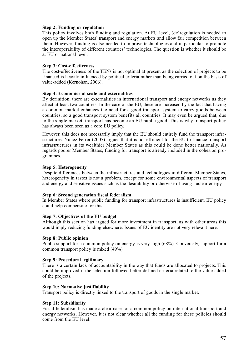### **Step 2: Funding or regulation**

This policy involves both funding and regulation. At EU level, (de)regulation is needed to open up the Member States' transport and energy markets and allow fair competition between them. However, funding is also needed to improve technologies and in particular to promote the interoperability of different countries' technologies. The question is whether it should be at EU or national level.

### **Step 3: Cost-effectiveness**

The cost-effectiveness of the TENs is not optimal at present as the selection of projects to be financed is heavily influenced by political criteria rather than being carried out on the basis of value-added (Kernohan, 2006).

### **Step 4: Economies of scale and externalities**

By definition, there are externalities in international transport and energy networks as they affect at least two countries. In the case of the EU, these are increased by the fact that having a common market enhances the need for a good transport system to carry goods between countries, so a good transport system benefits all countries. It may even be argued that, due to the single market, transport has become an EU public good. This is why transport policy has always been seen as a core EU policy.

However, this does not necessarily imply that the EU should entirely fund the transport infrastructures. Nunez Ferrer (2007) argues that it is not efficient for the EU to finance transport infrastructures in its wealthier Member States as this could be done better nationally. As regards poorer Member States, funding for transport is already included in the cohesion programmes.

### **Step 5: Heterogeneity**

Despite differences between the infrastructures and technologies in different Member States, heterogeneity in tastes is not a problem, except for some environmental aspects of transport and energy and sensitive issues such as the desirability or otherwise of using nuclear energy.

### **Step 6: Second generation fiscal federalism**

In Member States where public funding for transport infrastructures is insufficient, EU policy could help compensate for this.

### **Step 7: Objectives of the EU budget**

Although this section has argued for more investment in transport, as with other areas this would imply reducing funding elsewhere. Issues of EU identity are not very relevant here.

### **Step 8: Public opinion**

Public support for a common policy on energy is very high (68%). Conversely, support for a common transport policy is mixed (49%).

### **Step 9: Procedural legitimacy**

There is a certain lack of accountability in the way that funds are allocated to projects. This could be improved if the selection followed better defined criteria related to the value-added of the projects.

### **Step 10: Normative justifiability**

Transport policy is directly linked to the transport of goods in the single market.

### **Step 11: Subsidiarity**

Fiscal federalism has made a clear case for a common policy on international transport and energy networks. However, it is not clear whether all the funding for these policies should come from the EU level.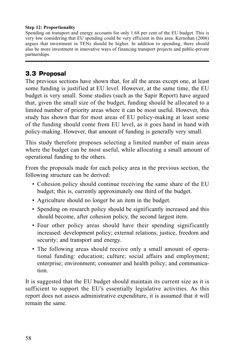## **Step 12: Proportionality**

Spending on transport and energy accounts for only 1.68 per cent of the EU budget. This is very low considering that EU spending could be very efficient in this area. Kernohan (2006) argues that investment in TENs should be higher. In addition to spending, there should also be more investment in innovative ways of financing transport projects and public-private partnerships.

# **3.3 Proposal**

The previous sections have shown that, for all the areas except one, at least some funding is justified at EU level. However, at the same time, the EU budget is very small. Some studies (such as the Sapir Report) have argued that, given the small size of the budget, funding should be allocated to a limited number of priority areas where it can be most useful. However, this study has shown that for most areas of EU policy-making at least some of the funding should come from EU level, as it goes hand in hand with policy-making. However, that amount of funding is generally very small.

This study therefore proposes selecting a limited number of main areas where the budget can be most useful, while allocating a small amount of operational funding to the others.

From the proposals made for each policy area in the previous section, the following structure can be derived:

- Cohesion policy should continue receiving the same share of the EU budget; this is, currently approximately one third of the budget.
- Agriculture should no longer be an item in the budget.
- Spending on research policy should be significantly increased and this should become, after cohesion policy, the second largest item.
- Four other policy areas should have their spending significantly increased: development policy; external relations; justice, freedom and security; and transport and energy.
- The following areas should receive only a small amount of operational funding: education; culture; social affairs and employment; enterprise; environment; consumer and health policy; and communication.

It is suggested that the EU budget should maintain its current size as it is sufficient to support the EU's essentially legislative activities. As this report does not assess administrative expenditure, it is assumed that it will remain the same.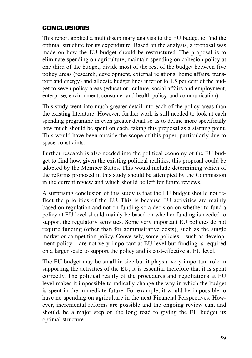# **CONCLUSIONS**

This report applied a multidisciplinary analysis to the EU budget to find the optimal structure for its expenditure. Based on the analysis, a proposal was made on how the EU budget should be restructured. The proposal is to eliminate spending on agriculture, maintain spending on cohesion policy at one third of the budget, divide most of the rest of the budget between five policy areas (research, development, external relations, home affairs, transport and energy) and allocate budget lines inferior to 1.5 per cent of the budget to seven policy areas (education, culture, social affairs and employment, enterprise, environment, consumer and health policy, and communication).

This study went into much greater detail into each of the policy areas than the existing literature. However, further work is still needed to look at each spending programme in even greater detail so as to define more specifically how much should be spent on each, taking this proposal as a starting point. This would have been outside the scope of this paper, particularly due to space constraints.

Further research is also needed into the political economy of the EU budget to find how, given the existing political realities, this proposal could be adopted by the Member States. This would include determining which of the reforms proposed in this study should be attempted by the Commission in the current review and which should be left for future reviews.

A surprising conclusion of this study is that the EU budget should not reflect the priorities of the EU. This is because EU activities are mainly based on regulation and not on funding so a decision on whether to fund a policy at EU level should mainly be based on whether funding is needed to support the regulatory activities. Some very important EU policies do not require funding (other than for administrative costs), such as the single market or competition policy. Conversely, some policies – such as development policy – are not very important at EU level but funding is required on a larger scale to support the policy and is cost-effective at EU level.

The EU budget may be small in size but it plays a very important role in supporting the activities of the EU; it is essential therefore that it is spent correctly. The political reality of the procedures and negotiations at EU level makes it impossible to radically change the way in which the budget is spent in the immediate future. For example, it would be impossible to have no spending on agriculture in the next Financial Perspectives. However, incremental reforms are possible and the ongoing review can, and should, be a major step on the long road to giving the EU budget its optimal structure.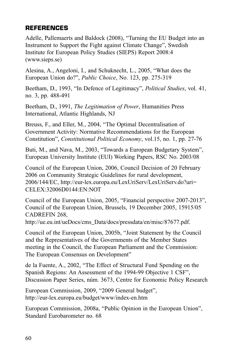# **REFERENCES**

Adelle, Pallemaerts and Baldock (2008), "Turning the EU Budget into an Instrument to Support the Fight against Climate Change", Swedish Institute for European Policy Studies (SIEPS) Report 2008:4 (www.sieps.se)

Alesina, A., Angeloni, I., and Schuknecht, L., 2005, "What does the European Union do?", *Public Choice*, No. 123, pp. 275-319

Beetham, D., 1993, "In Defence of Legitimacy", *Political Studies*, vol. 41, no. 3, pp. 488-491

Beetham, D., 1991, *The Legitimation of Power*, Humanities Press International, Atlantic Highlands, NJ

Breuss, F., and Eller, M., 2004, "The Optimal Decentralisation of Government Activity: Normative Recommendations for the European Constitution", *Constitutional Political Economy*, vol.15, no. 1, pp. 27-76

Buti, M., and Nava, M., 2003, "Towards a European Budgetary System", European University Institute (EUI) Working Papers, RSC No. 2003/08

Council of the European Union, 2006, Council Decision of 20 February 2006 on Community Strategic Guidelines for rural development, 2006/144/EC, http://eur-lex.europa.eu/LexUriServ/LexUriServ.do?uri= CELEX:32006D0144:EN:NOT

Council of the European Union, 2005, "Financial perspective 2007-2013", Council of the European Union, Brussels, 19 December 2005, 15915/05 CADREFIN 268,

http://ue.eu.int/ueDocs/cms\_Data/docs/pressdata/en/misc/87677.pdf.

Council of the European Union, 2005b, "Joint Statement by the Council and the Representatives of the Governments of the Member States meeting in the Council, the European Parliament and the Commission: The European Consensus on Development"

de la Fuente, A., 2002, "The Effect of Structural Fund Spending on the Spanish Regions: An Assessment of the 1994-99 Objective 1 CSF", Discussion Paper Series, núm. 3673, Centre for Economic Policy Research

European Commission, 2009, "2009 General budget", http://eur-lex.europa.eu/budget/www/index-en.htm

European Commission, 2008a, "Public Opinion in the European Union", Standard Eurobarometer no. 68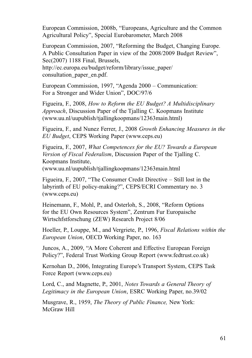European Commission, 2008b, "Europeans, Agriculture and the Common Agricultural Policy", Special Eurobarometer, March 2008

European Commission, 2007, "Reforming the Budget, Changing Europe. A Public Consultation Paper in view of the 2008/2009 Budget Review", Sec(2007) 1188 Final, Brussels,

http://ec.europa.eu/budget/reform/library/issue\_paper/ consultation\_paper\_en.pdf.

European Commission, 1997, "Agenda 2000 – Communication: For a Stronger and Wider Union", DOC/97/6

Figueira, F., 2008, *How to Reform the EU Budget? A Multidisciplinary Approach*, Discussion Paper of the Tjalling C. Koopmans Institute (www.uu.nl/uupublish/tjallingkoopmans/12363main.html)

Figueira, F., and Nunez Ferrer, J., 2008 *Growth Enhancing Measures in the EU Budget*, CEPS Working Paper (www.ceps.eu)

Figueira, F., 2007, *What Competences for the EU? Towards a European Version of Fiscal Federalism*, Discussion Paper of the Tjalling C. Koopmans Institute,

(www.uu.nl/uupublish/tjallingkoopmans/12363main.html

Figueira, F., 2007, "The Consumer Credit Directive – Still lost in the labyrinth of EU policy-making?", CEPS/ECRI Commentary no. 3 (www.ceps.eu)

Heinemann, F., Mohl, P., and Osterloh, S., 2008, "Reform Options for the EU Own Resources System", Zentrum Fur Europaische Wirtschfstforschung (ZEW) Research Project 8/06

Hoeller, P., Louppe, M., and Vergriete, P., 1996, *Fiscal Relations within the European Union*, OECD Working Paper, no. 163

Juncos, A., 2009, "A More Coherent and Effective European Foreign Policy?", Federal Trust Working Group Report (www.fedtrust.co.uk)

Kernohan D., 2006, Integrating Europe's Transport System, CEPS Task Force Report (www.ceps.eu)

Lord, C., and Magnette, P., 2001, *Notes Towards a General Theory of Legitimacy in the European Union*, ESRC Working Paper, no.39/02

Musgrave, R., 1959, *The Theory of Public Finance,* New York: McGraw Hill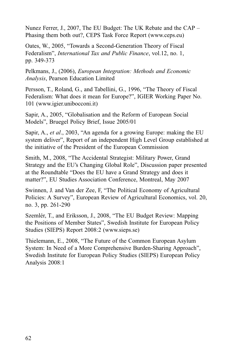Nunez Ferrer, J., 2007, The EU Budget: The UK Rebate and the CAP – Phasing them both out?, CEPS Task Force Report (www.ceps.eu)

Oates, W., 2005, "Towards a Second-Generation Theory of Fiscal Federalism", *International Tax and Public Finance*, vol.12, no. 1, pp. 349-373

Pelkmans, J., (2006), *European Integration: Methods and Economic Analysis*, Pearson Education Limited

Persson, T., Roland, G., and Tabellini, G., 1996, "The Theory of Fiscal Federalism: What does it mean for Europe?", IGIER Working Paper No. 101 (www.igier.unibocconi.it)

Sapir, A., 2005, "Globalisation and the Reform of European Social Models", Bruegel Policy Brief, Issue 2005/01

Sapir, A., *et al*., 2003, "An agenda for a growing Europe: making the EU system deliver", Report of an independent High Level Group established at the initiative of the President of the European Commission

Smith, M., 2008, "The Accidental Strategist: Military Power, Grand Strategy and the EU's Changing Global Role", Discussion paper presented at the Roundtable "Does the EU have a Grand Strategy and does it matter?", EU Studies Association Conference, Montreal, May 2007

Swinnen, J. and Van der Zee, F, "The Political Economy of Agricultural Policies: A Survey", European Review of Agricultural Economics, vol. 20, no. 3, pp. 261-290

Szemlér, T., and Eriksson, J., 2008, "The EU Budget Review: Mapping the Positions of Member States", Swedish Institute for European Policy Studies (SIEPS) Report 2008:2 (www.sieps.se)

Thielemann, E., 2008, "The Future of the Common European Asylum System: In Need of a More Comprehensive Burden-Sharing Approach", Swedish Institute for European Policy Studies (SIEPS) European Policy Analysis 2008:1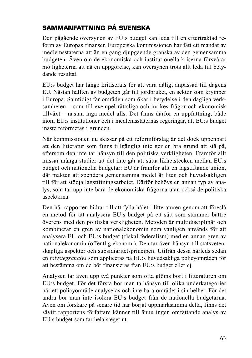# **SAMMANFATTNING PÅ SVENSKA**

Den pågående översynen av EU:s budget kan leda till en eftertraktad reform av Europas finanser. Europeiska kommissionen har fått ett mandat av medlemsstaterna att än en gång djupgående granska av den gemensamma budgeten. Även om de ekonomiska och institutionella kriserna försvårar möjligheterna att nå en uppgörelse, kan översynen trots allt leda till betydande resultat.

EU:s budget har länge kritiserats för att vara dåligt anpassad till dagens EU. Nästan hälften av budgeten går till jordbruket, en sektor som krymper i Europa. Samtidigt får områden som ökar i betydelse i den dagliga verksamheten – som till exempel rättsliga och inrikes frågor och ekonomisk tillväxt – nästan inga medel alls. Det finns därför en uppfattning, både inom EU:s institutioner och i medlemsstaternas regeringar, att EU:s budget måste reformeras i grunden.

När kommissionen nu skissar på ett reformförslag är det dock uppenbart att den litteratur som finns tillgänglig inte ger en bra grund att stå på, eftersom den inte tar hänsyn till den politiska verkligheten. Framför allt missar många studier att det inte går att sätta likhetstecken mellan EU:s budget och nationella budgetar: EU är framför allt en lagstiftande union, där makten att spendera gemensamma medel är liten och huvudsakligen till för att stödja lagstiftningsarbetet. Därför behövs en annan typ av analys, som tar upp inte bara de ekonomiska frågorna utan också de politiska aspekterna.

Den här rapporten bidrar till att fylla hålet i litteraturen genom att föreslå en metod för att analysera EU:s budget på ett sätt som stämmer bättre överens med den politiska verkligheten. Metoden är multidisciplinär och kombinerar en gren av nationalekonomin som vanligen används för att analysera EU och EU:s budget (fiskal federalism) med en annan gren av nationalekonomin (offentlig ekonomi). Den tar även hänsyn till statsvetenskapliga aspekter och subsidiaritetsprincipen. Utifrån dessa härleds sedan en *tolvstegsanalys* som appliceras på EU:s huvudsakliga policyområden för att bestämma om de bör finansieras från EU:s budget eller ej.

Analysen tar även upp två punkter som ofta glöms bort i litteraturen om EU:s budget. För det första bör man ta hänsyn till olika underkategorier när ett policyområde analyseras och inte bara området i sin helhet. För det andra bör man inte isolera EU:s budget från de nationella budgetarna. Även om forskare på senare tid har börjat uppmärksamma detta, finns det såvitt rapportens författare känner till ännu ingen omfattande analys av EU:s budget som tar hela steget ut.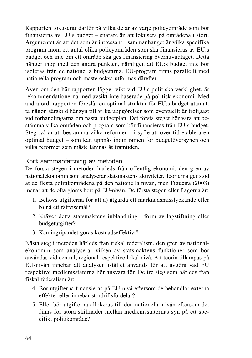Rapporten fokuserar därför på vilka delar av varje policyområde som bör finansieras av EU:s budget – snarare än att fokusera på områdena i stort. Argumentet är att det som är intressant i sammanhanget är vilka specifika program inom ett antal olika policyområden som ska finansieras av EU:s budget och inte om ett område ska ges finansiering överhuvudtaget. Detta hänger ihop med den andra punkten, nämligen att EU:s budget inte bör isoleras från de nationella budgetarna. EU-program finns parallellt med nationella program och måste också utformas därefter.

Även om den här rapporten lägger vikt vid EU:s politiska verklighet, är rekommendationerna med avsikt inte baserade på politisk ekonomi. Med andra ord: rapporten föreslår en optimal struktur för EU:s budget utan att ta någon särskild hänsyn till vilka uppgörelser som eventuellt är troligast vid förhandlingarna om nästa budgetplan. Det första steget bör vara att bestämma vilka områden och program som bör finansieras från EU:s budget. Steg två är att bestämma vilka reformer – i syfte att över tid etablera en optimal budget – som kan uppnås inom ramen för budgetöversynen och vilka reformer som måste lämnas åt framtiden.

Kort sammanfattning av metoden

De första stegen i metoden härleds från offentlig ekonomi, den gren av nationalekonomin som analyserar statsmaktens aktiviteter. Teorierna ger stöd åt de flesta politikområdena på den nationella nivån, men Figueira (2008) menar att de ofta glöms bort på EU-nivån. De första stegen eller frågorna är:

- 1. Behövs utgifterna för att a) åtgärda ett marknadsmisslyckande eller b) nå ett rättvisemål?
- 2. Kräver detta statsmaktens inblandning i form av lagstiftning eller budgetutgifter?
- 3. Kan ingripandet göras kostnadseffektivt?

Nästa steg i metoden härleds från fiskal federalism, den gren av nationalekonomin som analyserar vilken av statsmaktens funktioner som bör användas vid central, regional respektive lokal nivå. Att teorin tillämpas på EU-nivån innebär att analysen istället används för att avgöra vad EU respektive medlemsstaterna bör ansvara för. De tre steg som härleds från fiskal federalism är:

- 4. Bör utgifterna finansieras på EU-nivå eftersom de behandlar externa effekter eller innebär stordriftsfördelar?
- 5. Eller bör utgifterna allokeras till den nationella nivån eftersom det finns för stora skillnader mellan medlemsstaternas syn på ett specifikt politikområde?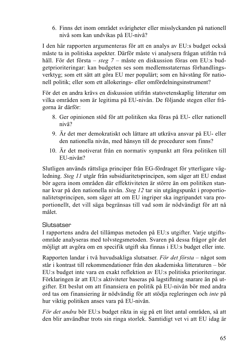6. Finns det inom området svårigheter eller misslyckanden på nationell nivå som kan undvikas på EU-nivå?

I den här rapporten argumenteras för att en analys av EU:s budget också måste ta in politiska aspekter. Därför måste vi analysera frågan utifrån två håll. För det första – *steg 7* – måste en diskussion föras om EU:s budgetprioriteringar: kan budgeten ses som medlemsstaternas förhandlingsverktyg; som ett sätt att göra EU mer populärt; som en hävstång för nationell politik; eller som ett allokerings- eller omfördelningsinstrument?

För det en andra krävs en diskussion utifrån statsvetenskaplig litteratur om vilka områden som är legitima på EU-nivån. De följande stegen eller frågorna är därför:

- 8. Ger opinionen stöd för att politiken ska föras på EU- eller nationell nivå?
- 9. Är det mer demokratiskt och lättare att utkräva ansvar på EU- eller den nationella nivån, med hänsyn till de procedurer som finns?
- 10. Är det motiverat från en normativ synpunkt att föra politiken till EU-nivån?

Slutligen används rättsliga principer från EG-fördraget för ytterligare vägledning. *Steg 11* utgår från subsidiaritetsprincipen, som säger att EU endast bör agera inom områden där effektiviteten är större än om politiken stannar kvar på den nationella nivån. *Steg 12* tar sin utgångspunkt i proportionalitetsprincipen, som säger att om EU ingriper ska ingripandet vara proportionellt, det vill säga begränsas till vad som är nödvändigt för att nå målet.

# **Slutsatser**

I rapportens andra del tillämpas metoden på EU:s utgifter. Varje utgiftsområde analyseras med tolvstegsmetoden. Svaren på dessa frågor gör det möjligt att avgöra om en specifik utgift ska finnas i EU:s budget eller inte.

Rapporten landar i två huvudsakliga slutsatser. *För det första* – något som står i kontrast till rekommendationer från den akademiska litteraturen – bör EU:s budget inte vara en exakt reflektion av EU:s politiska prioriteringar. Förklaringen är att EU:s aktiviteter baseras på lagstiftning snarare än på utgifter. Ett beslut om att finansiera en politik på EU-nivån bör med andra ord tas om finansiering är nödvändig för att stödja regleringen och *inte* på hur viktig politiken anses vara på EU-nivån.

*För det andra* bör EU:s budget rikta in sig på ett litet antal områden, så att den blir användbar trots sin ringa storlek. Samtidigt vet vi att EU idag är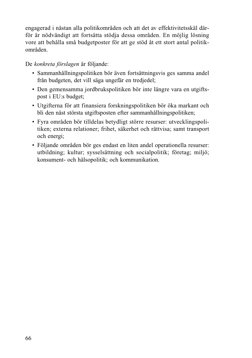engagerad i nästan alla politikområden och att det av effektivitetsskäl därför är nödvändigt att fortsätta stödja dessa områden. En möjlig lösning vore att behålla små budgetposter för att ge stöd åt ett stort antal politikområden.

# De *konkreta förslagen* är följande:

- Sammanhållningspolitiken bör även fortsättningsvis ges samma andel från budgeten, det vill säga ungefär en tredjedel;
- Den gemensamma jordbrukspolitiken bör inte längre vara en utgiftspost i EU:s budget;
- Utgifterna för att finansiera forskningspolitiken bör öka markant och bli den näst största utgiftsposten efter sammanhållningspolitiken;
- Fyra områden bör tilldelas betydligt större resurser: utvecklingspolitiken; externa relationer; frihet, säkerhet och rättvisa; samt transport och energi;
- Följande områden bör ges endast en liten andel operationella resurser: utbildning; kultur; sysselsättning och socialpolitik; företag; miljö; konsument- och hälsopolitik; och kommunikation.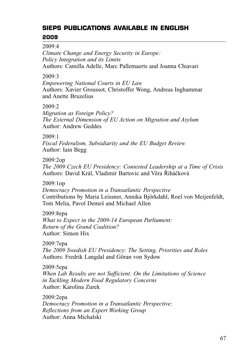# **SIEPS PUBLICATIONS AVAILABLE IN ENGLISH 2009**

2009:4

*Climate Change and Energy Security in Europe: Policy Integration and its Limits* Authors: Camilla Adelle, Marc Pallemaerts and Joanna Chiavari

# 2009:3

*Empowering National Courts in EU Law* Authors: Xavier Groussot, Christoffer Wong, Andreas Inghammar and Anette Bruzelius

# $2009.2$

*Migration as Foreign Policy? The External Dimension of EU Action on Migration and Asylum* Author: Andrew Geddes

# 2009:1

*Fiscal Federalism, Subsidiarity and the EU Budget Review* Author: Iain Begg

# 2009:2op

*The 2009 Czech EU Presidency: Contested Leadership at a Time of Crisis* Authors: David Král, Vladimír Bartovic and Věra Řiháčková

# 2009:1op

*Democracy Promotion in a Transatlantic Perspective* Contributions by Maria Leissner, Annika Björkdahl, Roel von Meijenfeldt, Tom Melia, Pavol Demeš and Michael Allen

# 2009:8epa

*What to Expect in the 2009-14 European Parliament: Return of the Grand Coalition?* Author: Simon Hix

2009:7epa *The 2009 Swedish EU Presidency: The Setting, Priorities and Roles* Authors: Fredrik Langdal and Göran von Sydow

2009:5epa *When Lab Results are not Sufficient: On the Limitations of Science in Tackling Modern Food Regulatory Concerns* Author: Karolina Zurek

2009:2epa *Democracy Promotion in a Transatlantic Perspective: Reflections from an Expert Working Group* Author: Anna Michalski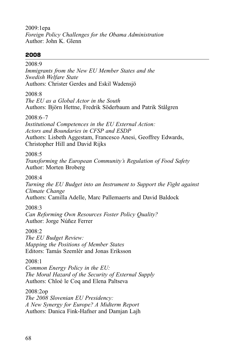2009:1epa *Foreign Policy Challenges for the Obama Administration* Author: John K. Glenn

# **2008**

2008:9

*Immigrants from the New EU Member States and the Swedish Welfare State*  Authors: Christer Gerdes and Eskil Wadensjö

2008:8

*The EU as a Global Actor in the South* Authors: Björn Hettne, Fredrik Söderbaum and Patrik Stålgren

 $2008.6 - 7$ 

*Institutional Competences in the EU External Action: Actors and Boundaries in CFSP and ESDP* Authors: Lisbeth Aggestam, Francesco Anesi, Geoffrey Edwards, Christopher Hill and David Rijks

2008:5

*Transforming the European Community's Regulation of Food Safety* Author: Morten Broberg

2008:4

*Turning the EU Budget into an Instrument to Support the Fight against Climate Change*

Authors: Camilla Adelle, Marc Pallemaerts and David Baldock

2008:3

*Can Reforming Own Resources Foster Policy Quality?* Author: Jorge Núñez Ferrer

2008:2

*The EU Budget Review: Mapping the Positions of Member States* Editors: Tamás Szemlér and Jonas Eriksson

2008:1

*Common Energy Policy in the EU: The Moral Hazard of the Security of External Supply* Authors: Chloé le Coq and Elena Paltseva

2008:2op *The 2008 Slovenian EU Presidency: A New Synergy for Europe? A Midterm Report* Authors: Danica Fink-Hafner and Damjan Lajh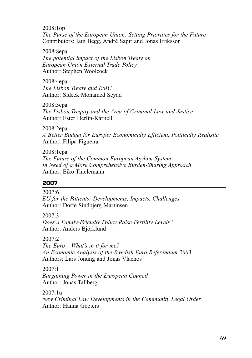2008:1op *The Purse of the European Union: Setting Priorities for the Future* Contributors: Iain Begg, André Sapir and Jonas Eriksson

2008:8epa

*The potential impact of the Lisbon Treaty on European Union External Trade Policy* Author: Stephen Woolcock

2008:4epa *The Lisbon Treaty and EMU* Author: Sideek Mohamed Seyad

2008:3epa *The Lisbon Treqaty and the Area of Criminal Law and Justice* Author: Ester Herlin-Karnell

2008:2epa *A Better Budget for Europe: Economically Efficient, Politically Realistic* Author: Filipa Figueira

2008:1epa *The Future of the Common European Asylum System: In Need of a More Comprehensive Burden-Sharing Approach* Author: Eiko Thielemann

# **2007**

2007:6

*EU for the Patients: Developments, Impacts, Challenges*  Author: Dorte Sindbjerg Martinsen

2007:3

*Does a Family-Friendly Policy Raise Fertility Levels?* Author: Anders Björklund

# 2007:2

*The Euro – What's in it for me? An Economic Analysis of the Swedish Euro Referendum 2003* Authors: Lars Jonung and Jonas Vlachos

2007:1 *Bargaining Power in the European Council* Author: Jonas Tallberg

2007:1u *New Criminal Law Developments in the Community Legal Order* Author: Hanna Goeters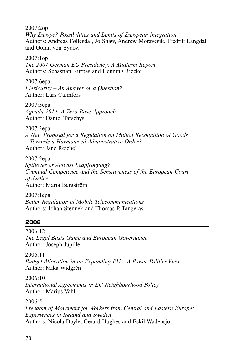2007:2op *Why Europe? Possibilities and Limits of European Integration* Authors: Andreas Føllesdal, Jo Shaw, Andrew Moravcsik, Fredrik Langdal and Göran von Sydow

2007:1op *The 2007 German EU Presidency: A Midterm Report* Authors: Sebastian Kurpas and Henning Riecke

2007:6epa *Flexicurity – An Answer or a Question?* Author: Lars Calmfors

2007:5epa *Agenda 2014: A Zero-Base Approach* Author: Daniel Tarschys

2007:3epa *A New Proposal for a Regulation on Mutual Recognition of Goods – Towards a Harmonized Administrative Order?* Author: Jane Reichel

2007:2epa *Spillover or Activist Leapfrogging? Criminal Competence and the Sensitiveness of the European Court of Justice* Author: Maria Bergström

2007:1epa *Better Regulation of Mobile Telecommunications* Authors: Johan Stennek and Thomas P. Tangerås

# **2006**

2006:12 *The Legal Basis Game and European Governance* Author: Joseph Jupille

2006:11 *Budget Allocation in an Expanding EU – A Power Politics View* Author: Mika Widgrén

2006:10 *International Agreements in EU Neighbourhood Policy* Author: Marius Vahl

2006:5

*Freedom of Movement for Workers from Central and Eastern Europe: Experiences in Ireland and Sweden* Authors: Nicola Doyle, Gerard Hughes and Eskil Wadensjö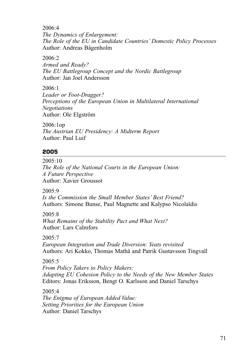2006:4

*The Dynamics of Enlargement: The Role of the EU in Candidate Countries' Domestic Policy Processes* Author: Andreas Bågenholm

2006:2

*Armed and Ready? The EU Battlegroup Concept and the Nordic Battlegroup* Author: Jan Joel Andersson

2006:1 *Leader or Foot-Dragger? Perceptions of the European Union in Multilateral International Negotiations* Author: Ole Elgström

2006:1op *The Austrian EU Presidency: A Midterm Report* Author: Paul Luif

# **2005**

2005:10 *The Role of the National Courts in the European Union: A Future Perspective* Author: Xavier Groussot

2005:9

*Is the Commission the Small Member States' Best Friend?* Authors: Simone Bunse, Paul Magnette and Kalypso Nicolaïdis

2005:8 *What Remains of the Stability Pact and What Next?* Author: Lars Calmfors

2005:7

*European Integration and Trade Diversion: Yeats revisited* Authors: Ari Kokko, Thomas Mathä and Patrik Gustavsson Tingvall

2005:5

*From Policy Takers to Policy Makers: Adapting EU Cohesion Policy to the Needs of the New Member States* Editors: Jonas Eriksson, Bengt O. Karlsson and Daniel Tarschys

2005:4 *The Enigma of European Added Value: Setting Priorities for the European Union* Author: Daniel Tarschys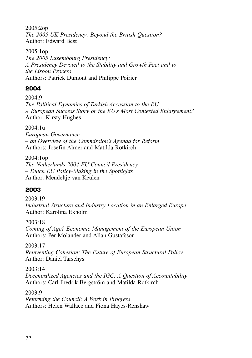2005:2op *The 2005 UK Presidency: Beyond the British Question?* Author: Edward Best

2005:1op *The 2005 Luxembourg Presidency: A Presidency Devoted to the Stability and Growth Pact and to the Lisbon Process* Authors: Patrick Dumont and Philippe Poirier

## **2004**

2004:9 *The Political Dynamics of Turkish Accession to the EU: A European Success Story or the EU's Most Contested Enlargement?* Author: Kirsty Hughes

2004:1u *European Governance – an Overview of the Commission's Agenda for Reform* Authors: Josefin Almer and Matilda Rotkirch

2004:1op *The Netherlands 2004 EU Council Presidency – Dutch EU Policy-Making in the Spotlights* Author: Mendeltje van Keulen

## **2003**

2003:19 *Industrial Structure and Industry Location in an Enlarged Europe* Author: Karolina Ekholm

2003:18

*Coming of Age? Economic Management of the European Union* Authors: Per Molander and Allan Gustafsson

2003:17

*Reinventing Cohesion: The Future of European Structural Policy* Author: Daniel Tarschys

2003:14

*Decentralized Agencies and the IGC: A Question of Accountability* Authors: Carl Fredrik Bergström and Matilda Rotkirch

2003:9

*Reforming the Council: A Work in Progress* Authors: Helen Wallace and Fiona Hayes-Renshaw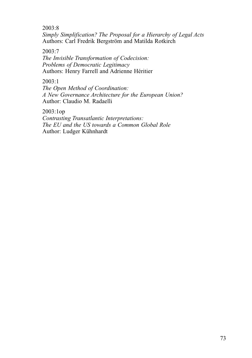2003:8

*Simply Simplification? The Proposal for a Hierarchy of Legal Acts* Authors: Carl Fredrik Bergström and Matilda Rotkirch

2003:7

*The Invisible Transformation of Codecision: Problems of Democratic Legitimacy* Authors: Henry Farrell and Adrienne Héritier

2003:1

*The Open Method of Coordination: A New Governance Architecture for the European Union?* Author: Claudio M. Radaelli

2003:1op *Contrasting Transatlantic Interpretations: The EU and the US towards a Common Global Role* Author: Ludger Kühnhardt